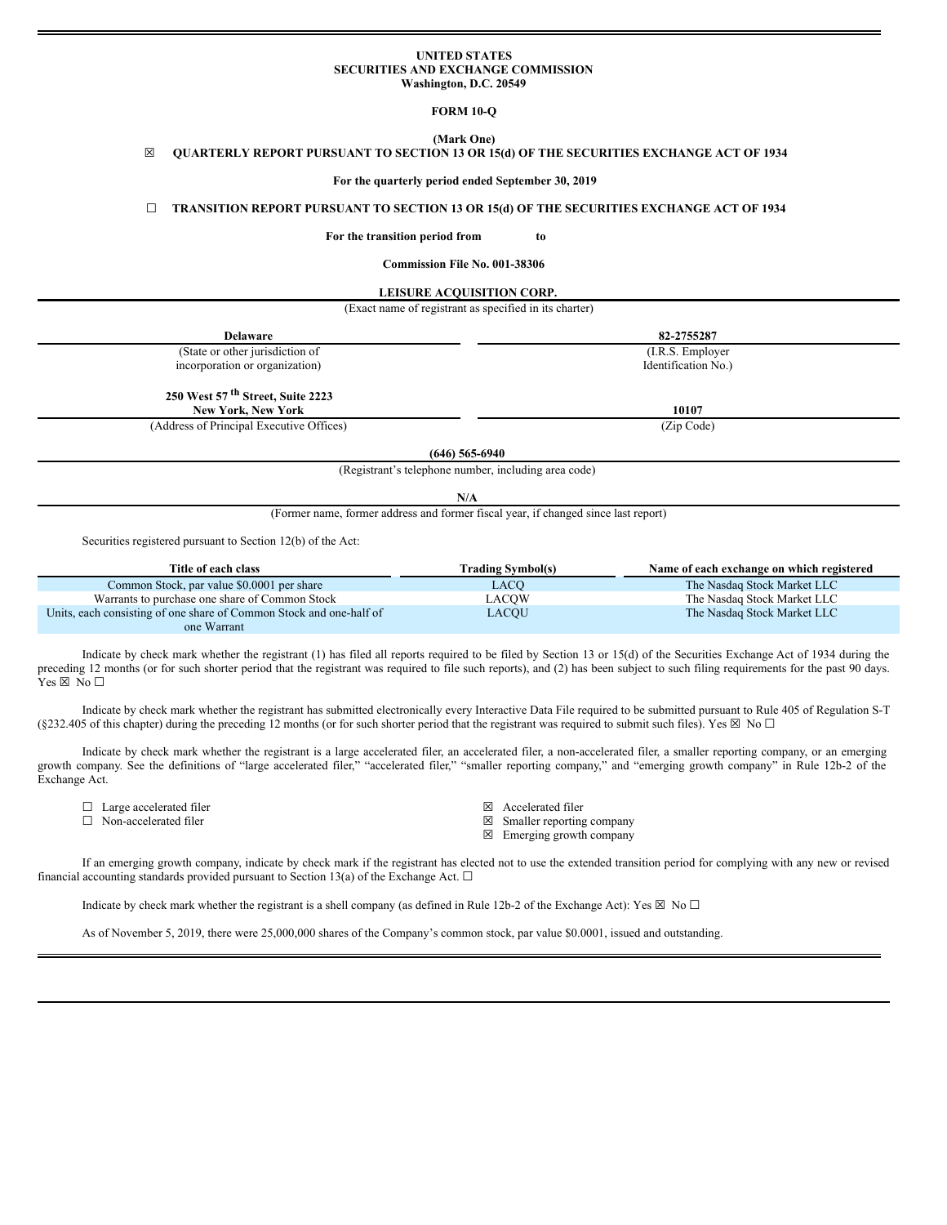#### **UNITED STATES SECURITIES AND EXCHANGE COMMISSION Washington, D.C. 20549**

**FORM 10-Q**

**(Mark One)**

☒ **QUARTERLY REPORT PURSUANT TO SECTION 13 OR 15(d) OF THE SECURITIES EXCHANGE ACT OF 1934**

**For the quarterly period ended September 30, 2019**

☐ **TRANSITION REPORT PURSUANT TO SECTION 13 OR 15(d) OF THE SECURITIES EXCHANGE ACT OF 1934**

**For the transition period from to**

**Commission File No. 001-38306**

#### **LEISURE ACQUISITION CORP.**

| <b>Delaware</b>                              | 82-2755287          |
|----------------------------------------------|---------------------|
| (State or other jurisdiction of              | (I.R.S. Employer)   |
| incorporation or organization)               | Identification No.) |
| 250 West 57 <sup>th</sup> Street, Suite 2223 |                     |
| <b>New York, New York</b>                    | 10107               |
| (Address of Principal Executive Offices)     | (Zip Code)          |

(Registrant's telephone number, including area code)

**N/A**

(Former name, former address and former fiscal year, if changed since last report)

Securities registered pursuant to Section 12(b) of the Act:

| Title of each class                                                 | <b>Trading Symbol(s)</b> | Name of each exchange on which registered |
|---------------------------------------------------------------------|--------------------------|-------------------------------------------|
| Common Stock, par value \$0.0001 per share                          | <b>LACO</b>              | The Nasdaq Stock Market LLC               |
| Warrants to purchase one share of Common Stock                      | LACOW                    | The Nasdag Stock Market LLC               |
| Units, each consisting of one share of Common Stock and one-half of | <b>LACOU</b>             | The Nasdaq Stock Market LLC               |
| one Warrant                                                         |                          |                                           |

Indicate by check mark whether the registrant (1) has filed all reports required to be filed by Section 13 or 15(d) of the Securities Exchange Act of 1934 during the preceding 12 months (or for such shorter period that the registrant was required to file such reports), and (2) has been subject to such filing requirements for the past 90 days. Yes ⊠ No □

Indicate by check mark whether the registrant has submitted electronically every Interactive Data File required to be submitted pursuant to Rule 405 of Regulation S-T (§232.405 of this chapter) during the preceding 12 months (or for such shorter period that the registrant was required to submit such files). Yes  $\boxtimes$  No  $\Box$ 

Indicate by check mark whether the registrant is a large accelerated filer, an accelerated filer, a non-accelerated filer, a smaller reporting company, or an emerging growth company. See the definitions of "large accelerated filer," "accelerated filer," "smaller reporting company," and "emerging growth company" in Rule 12b-2 of the Exchange Act.

 $\Box$  Large accelerated filer  $\Box$  Accelerated filer

- □ Non-accelerated filer <br>□ Non-accelerated filer
	- ☒ Emerging growth company

If an emerging growth company, indicate by check mark if the registrant has elected not to use the extended transition period for complying with any new or revised financial accounting standards provided pursuant to Section 13(a) of the Exchange Act.  $\Box$ 

Indicate by check mark whether the registrant is a shell company (as defined in Rule 12b-2 of the Exchange Act): Yes  $\boxtimes$  No  $\Box$ 

As of November 5, 2019, there were 25,000,000 shares of the Company's common stock, par value \$0.0001, issued and outstanding.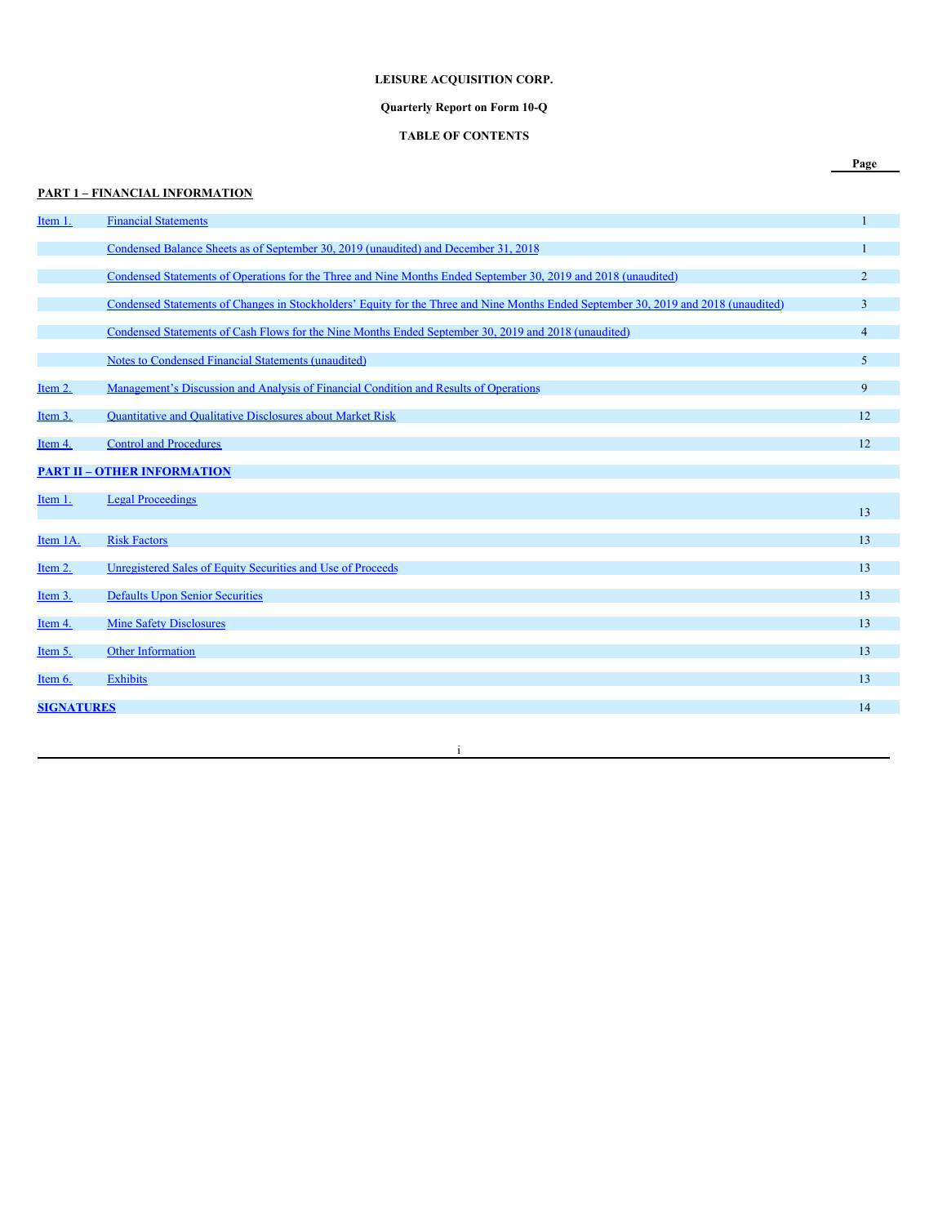# **LEISURE ACQUISITION CORP.**

# **Quarterly Report on Form 10-Q**

## **TABLE OF CONTENTS**

**Page**

# **PART 1 – FINANCIAL INFORMATION**

| Condensed Balance Sheets as of September 30, 2019 (unaudited) and December 31, 2018                                                 |                |
|-------------------------------------------------------------------------------------------------------------------------------------|----------------|
|                                                                                                                                     |                |
| Condensed Statements of Operations for the Three and Nine Months Ended September 30, 2019 and 2018 (unaudited)                      | 2              |
| Condensed Statements of Changes in Stockholders' Equity for the Three and Nine Months Ended September 30, 2019 and 2018 (unaudited) | 3              |
| Condensed Statements of Cash Flows for the Nine Months Ended September 30, 2019 and 2018 (unaudited)                                | $\overline{4}$ |
| Notes to Condensed Financial Statements (unaudited)                                                                                 | 5              |
| Management's Discussion and Analysis of Financial Condition and Results of Operations<br>Item 2.                                    | 9              |
| <b>Ouantitative and Qualitative Disclosures about Market Risk</b><br>Item 3.                                                        | 12             |
| <b>Control and Procedures</b><br>Item 4.                                                                                            | 12             |
| <b>PART II - OTHER INFORMATION</b>                                                                                                  |                |
| <b>Legal Proceedings</b><br>Item 1.                                                                                                 | 13             |
| <b>Risk Factors</b><br>Item 1A.                                                                                                     | 13             |
| Unregistered Sales of Equity Securities and Use of Proceeds<br>Item 2.                                                              | 13             |
| <b>Defaults Upon Senior Securities</b><br>Item 3.                                                                                   | 13             |
| <b>Mine Safety Disclosures</b><br>Item 4.                                                                                           | 13             |
| <b>Other Information</b><br>Item 5.                                                                                                 | 13             |
| <b>Exhibits</b><br>Item 6.                                                                                                          | 13             |
| <b>SIGNATURES</b>                                                                                                                   | 14             |

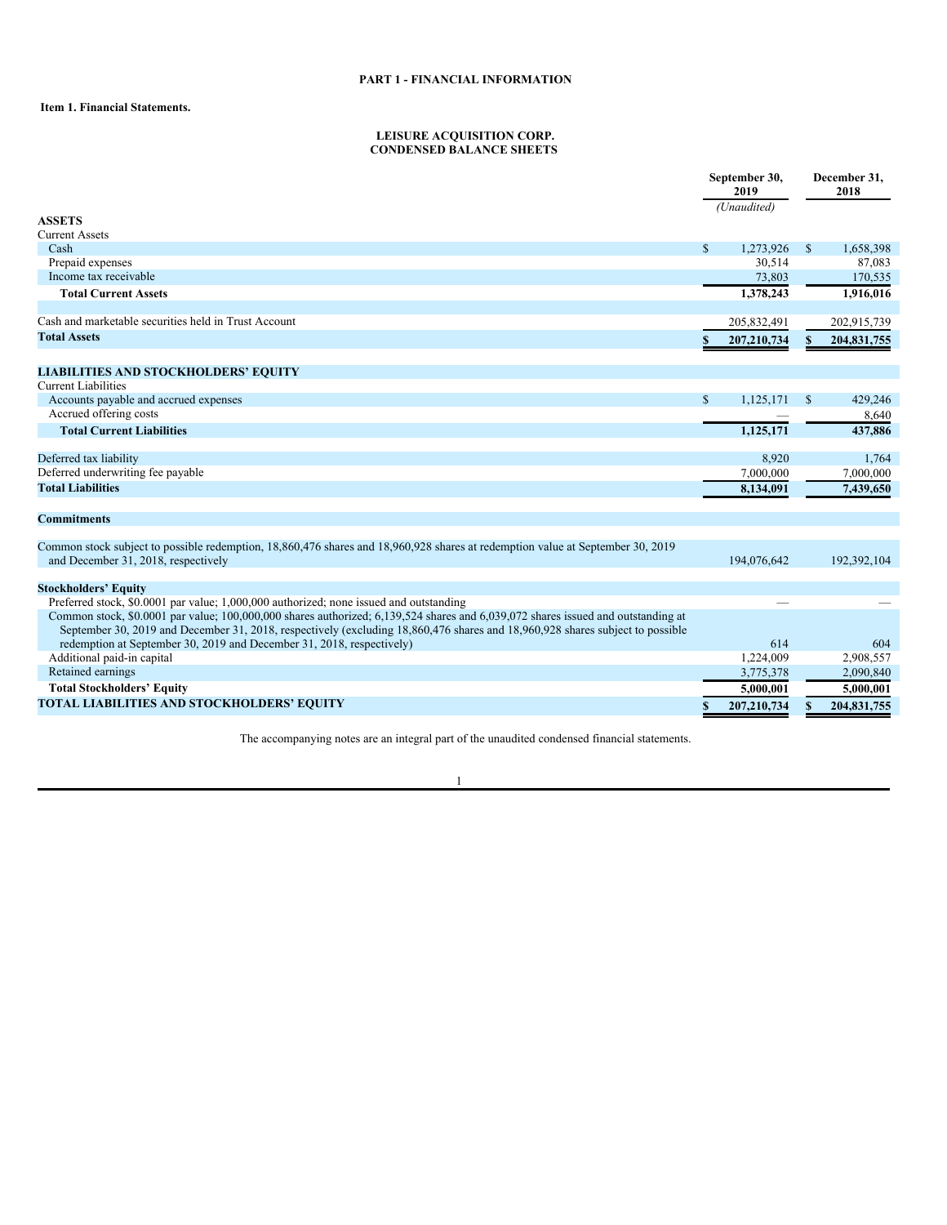## **PART 1 - FINANCIAL INFORMATION**

## <span id="page-2-0"></span>**Item 1. Financial Statements.**

#### <span id="page-2-1"></span>**LEISURE ACQUISITION CORP. CONDENSED BALANCE SHEETS**

|                                                                                                                                                                       |              | September 30,<br>2019 |              | December 31,<br>2018 |
|-----------------------------------------------------------------------------------------------------------------------------------------------------------------------|--------------|-----------------------|--------------|----------------------|
|                                                                                                                                                                       |              | (Unaudited)           |              |                      |
| <b>ASSETS</b>                                                                                                                                                         |              |                       |              |                      |
| <b>Current Assets</b>                                                                                                                                                 |              |                       |              |                      |
| Cash                                                                                                                                                                  | $\mathbb{S}$ | 1,273,926             | <sup>S</sup> | 1,658,398            |
| Prepaid expenses<br>Income tax receivable                                                                                                                             |              | 30,514                |              | 87,083               |
|                                                                                                                                                                       |              | 73,803                |              | 170,535              |
| <b>Total Current Assets</b>                                                                                                                                           |              | 1,378,243             |              | 1,916,016            |
| Cash and marketable securities held in Trust Account                                                                                                                  |              | 205,832,491           |              | 202,915,739          |
| <b>Total Assets</b>                                                                                                                                                   |              | 207,210,734           | \$           | 204,831,755          |
|                                                                                                                                                                       |              |                       |              |                      |
| <b>LIABILITIES AND STOCKHOLDERS' EQUITY</b>                                                                                                                           |              |                       |              |                      |
| <b>Current Liabilities</b>                                                                                                                                            |              |                       |              |                      |
| Accounts payable and accrued expenses                                                                                                                                 | $\mathbb{S}$ | 1.125.171             | $\mathbb{S}$ | 429.246              |
| Accrued offering costs                                                                                                                                                |              |                       |              | 8.640                |
| <b>Total Current Liabilities</b>                                                                                                                                      |              | 1,125,171             |              | 437,886              |
|                                                                                                                                                                       |              |                       |              |                      |
| Deferred tax liability                                                                                                                                                |              | 8,920                 |              | 1,764                |
| Deferred underwriting fee payable                                                                                                                                     |              | 7,000,000             |              | 7,000,000            |
| <b>Total Liabilities</b>                                                                                                                                              |              | 8,134,091             |              | 7,439,650            |
|                                                                                                                                                                       |              |                       |              |                      |
| <b>Commitments</b>                                                                                                                                                    |              |                       |              |                      |
|                                                                                                                                                                       |              |                       |              |                      |
| Common stock subject to possible redemption, 18,860,476 shares and 18,960,928 shares at redemption value at September 30, 2019<br>and December 31, 2018, respectively |              | 194,076,642           |              | 192,392,104          |
|                                                                                                                                                                       |              |                       |              |                      |
| <b>Stockholders' Equity</b>                                                                                                                                           |              |                       |              |                      |
| Preferred stock, \$0.0001 par value; 1,000,000 authorized; none issued and outstanding                                                                                |              |                       |              |                      |
| Common stock, \$0.0001 par value; 100,000,000 shares authorized; 6,139,524 shares and 6,039,072 shares issued and outstanding at                                      |              |                       |              |                      |
| September 30, 2019 and December 31, 2018, respectively (excluding 18,860,476 shares and 18,960,928 shares subject to possible                                         |              |                       |              |                      |
| redemption at September 30, 2019 and December 31, 2018, respectively)                                                                                                 |              | 614                   |              | 604                  |
| Additional paid-in capital                                                                                                                                            |              | 1,224,009             |              | 2,908,557            |
| Retained earnings                                                                                                                                                     |              | 3,775,378             |              | 2,090,840            |
| <b>Total Stockholders' Equity</b>                                                                                                                                     |              | 5.000.001             |              | 5.000.001            |
| <b>TOTAL LIABILITIES AND STOCKHOLDERS' EQUITY</b>                                                                                                                     |              | 207,210,734           |              | 204,831,755          |
|                                                                                                                                                                       |              |                       |              |                      |

The accompanying notes are an integral part of the unaudited condensed financial statements.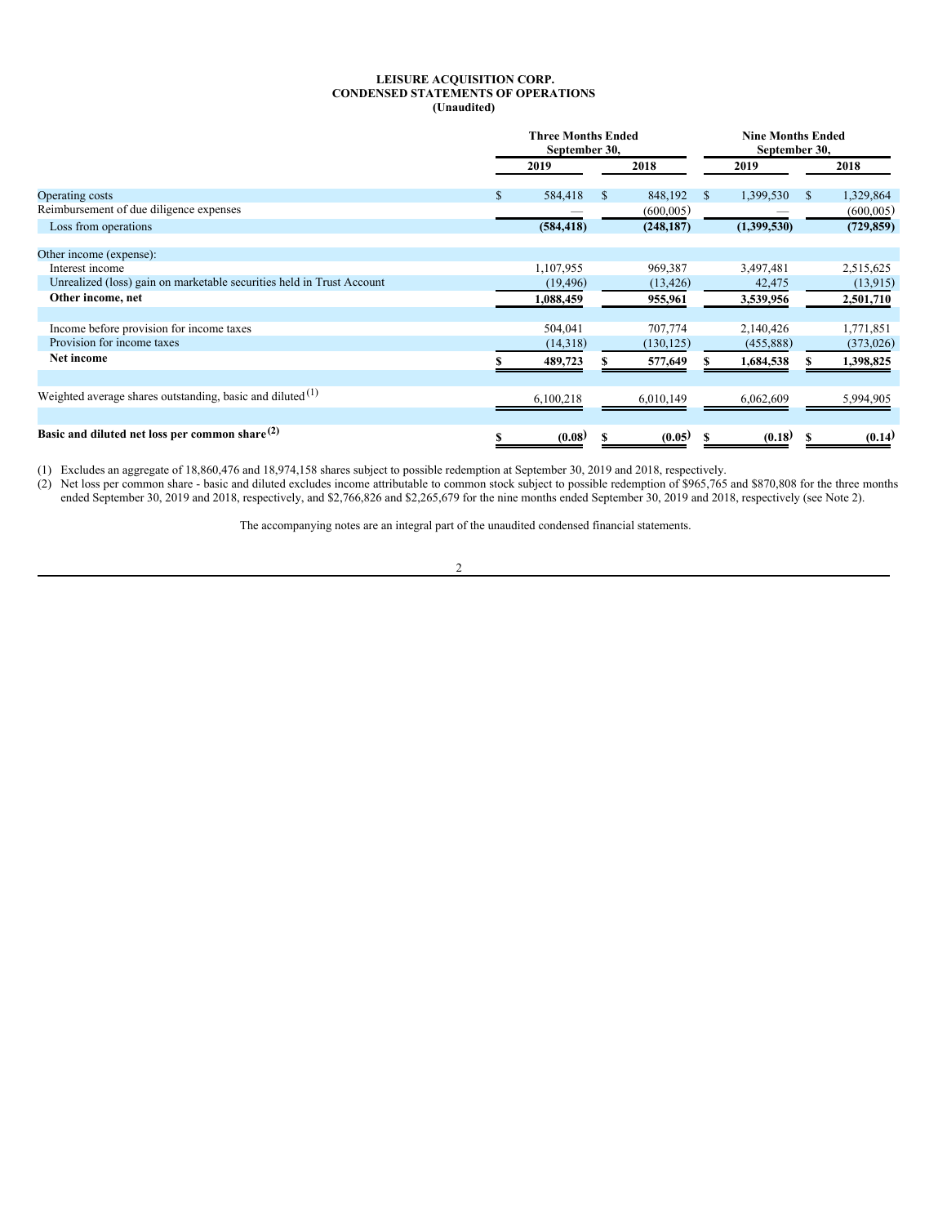## <span id="page-3-0"></span>**LEISURE ACQUISITION CORP. CONDENSED STATEMENTS OF OPERATIONS (Unaudited)**

|                                                                       |    | <b>Three Months Ended</b><br>September 30, |               |            | <b>Nine Months Ended</b><br>September 30, |             |              |            |
|-----------------------------------------------------------------------|----|--------------------------------------------|---------------|------------|-------------------------------------------|-------------|--------------|------------|
|                                                                       |    | 2019                                       |               | 2018       |                                           | 2019        |              | 2018       |
| Operating costs                                                       | S. | 584,418                                    | <sup>\$</sup> | 848,192    | \$.                                       | 1,399,530   | <sup>S</sup> | 1,329,864  |
| Reimbursement of due diligence expenses                               |    |                                            |               | (600,005)  |                                           |             |              | (600,005)  |
| Loss from operations                                                  |    | (584, 418)                                 |               | (248, 187) |                                           | (1,399,530) |              | (729, 859) |
| Other income (expense):                                               |    |                                            |               |            |                                           |             |              |            |
| Interest income                                                       |    | 1,107,955                                  |               | 969,387    |                                           | 3,497,481   |              | 2,515,625  |
| Unrealized (loss) gain on marketable securities held in Trust Account |    | (19, 496)                                  |               | (13, 426)  |                                           | 42,475      |              | (13, 915)  |
| Other income, net                                                     |    | 1,088,459                                  |               | 955,961    |                                           | 3,539,956   |              | 2,501,710  |
| Income before provision for income taxes                              |    | 504,041                                    |               | 707,774    |                                           | 2,140,426   |              | 1,771,851  |
| Provision for income taxes                                            |    | (14,318)                                   |               | (130, 125) |                                           | (455, 888)  |              | (373, 026) |
| Net income                                                            |    | 489,723                                    |               | 577,649    |                                           | 1,684,538   |              | 1,398,825  |
| Weighted average shares outstanding, basic and diluted $(1)$          |    | 6,100,218                                  |               | 6,010,149  |                                           | 6,062,609   |              | 5,994,905  |
|                                                                       |    |                                            |               |            |                                           |             |              |            |
| Basic and diluted net loss per common share $(2)$                     |    | (0.08)                                     |               | (0.05)     |                                           | (0.18)      |              | (0.14)     |

(1) Excludes an aggregate of 18,860,476 and 18,974,158 shares subject to possible redemption at September 30, 2019 and 2018, respectively.

(2) Net loss per common share - basic and diluted excludes income attributable to common stock subject to possible redemption of \$965,765 and \$870,808 for the three months ended September 30, 2019 and 2018, respectively, and \$2,766,826 and \$2,265,679 for the nine months ended September 30, 2019 and 2018, respectively (see Note 2).

The accompanying notes are an integral part of the unaudited condensed financial statements.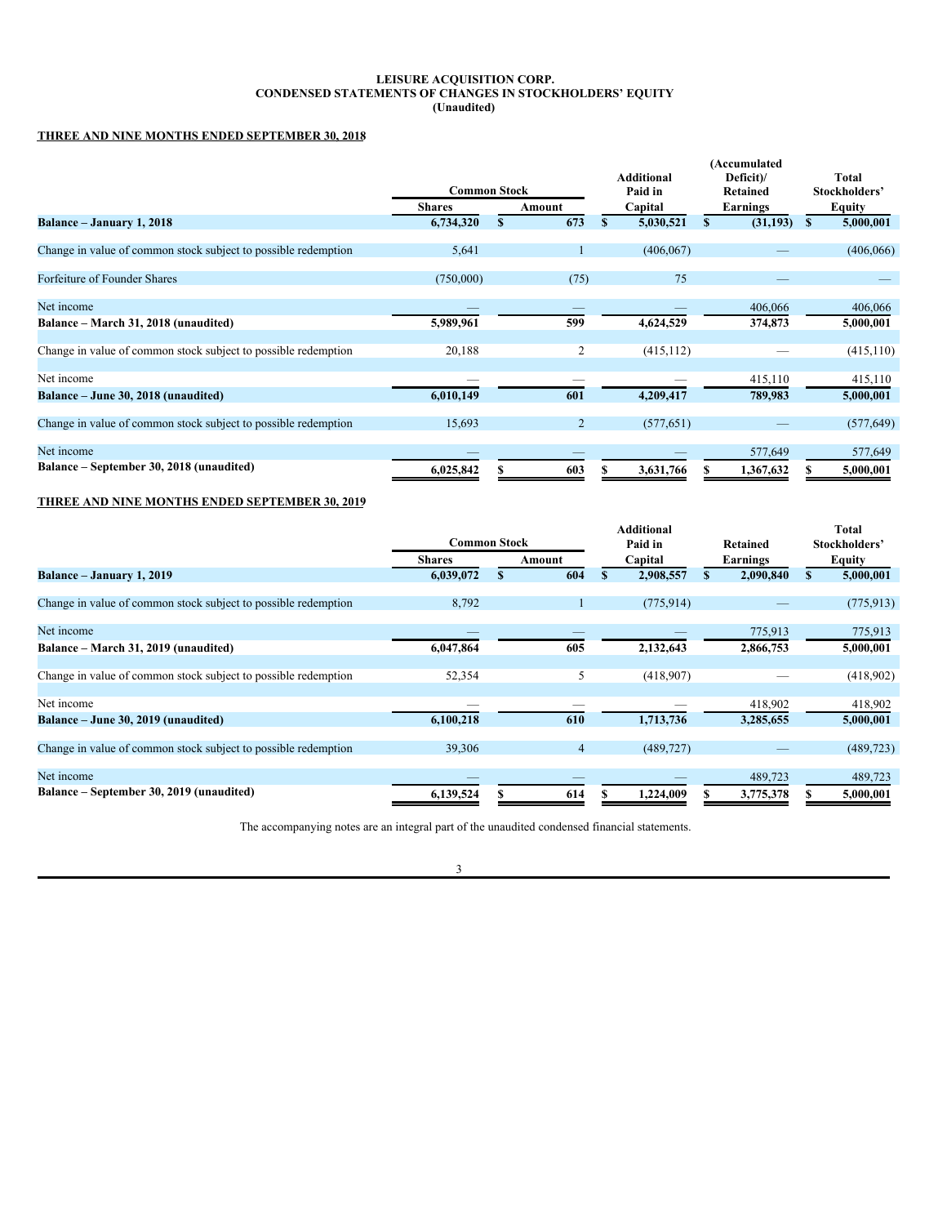#### <span id="page-4-0"></span>**LEISURE ACQUISITION CORP. CONDENSED STATEMENTS OF CHANGES IN STOCKHOLDERS' EQUITY (Unaudited)**

## **THREE AND NINE MONTHS ENDED SEPTEMBER 30, 2018**

|                                                                | <b>Common Stock</b> |   |                |   | <b>Additional</b><br>Paid in |   | (Accumulated<br>Deficit)/<br>Retained |              | <b>Total</b><br>Stockholders' |
|----------------------------------------------------------------|---------------------|---|----------------|---|------------------------------|---|---------------------------------------|--------------|-------------------------------|
|                                                                | <b>Shares</b>       |   | Amount         |   | Capital                      |   | <b>Earnings</b>                       |              | Equity                        |
| Balance - January 1, 2018                                      | 6,734,320           | S | 673            | S | 5,030,521                    | S | (31,193)                              | <sup>S</sup> | 5,000,001                     |
| Change in value of common stock subject to possible redemption | 5,641               |   |                |   | (406, 067)                   |   |                                       |              | (406, 066)                    |
| Forfeiture of Founder Shares                                   | (750,000)           |   | (75)           |   | 75                           |   |                                       |              |                               |
| Net income                                                     |                     |   |                |   |                              |   | 406,066                               |              | 406,066                       |
| Balance – March 31, 2018 (unaudited)                           | 5,989,961           |   | 599            |   | 4,624,529                    |   | 374,873                               |              | 5,000,001                     |
| Change in value of common stock subject to possible redemption | 20,188              |   | 2              |   | (415, 112)                   |   |                                       |              | (415, 110)                    |
| Net income                                                     |                     |   |                |   |                              |   | 415,110                               |              | 415,110                       |
| Balance – June 30, 2018 (unaudited)                            | 6,010,149           |   | 601            |   | 4,209,417                    |   | 789,983                               |              | 5,000,001                     |
| Change in value of common stock subject to possible redemption | 15,693              |   | $\overline{2}$ |   | (577, 651)                   |   |                                       |              | (577, 649)                    |
| Net income                                                     |                     |   |                |   |                              |   | 577,649                               |              | 577,649                       |
| Balance – September 30, 2018 (unaudited)                       | 6,025,842           |   | 603            |   | 3,631,766                    |   | 1,367,632                             |              | 5,000,001                     |

# **THREE AND NINE MONTHS ENDED SEPTEMBER 30, 2019**

|                                                                | <b>Common Stock</b> |  |                |  |            |  |           | <b>Additional</b><br>Paid in |  |  |  |  |  |  |  |  | Retained | Total<br>Stockholders' |
|----------------------------------------------------------------|---------------------|--|----------------|--|------------|--|-----------|------------------------------|--|--|--|--|--|--|--|--|----------|------------------------|
|                                                                | <b>Shares</b>       |  | Amount         |  | Capital    |  | Earnings  | Equity                       |  |  |  |  |  |  |  |  |          |                        |
| Balance - January 1, 2019                                      | 6,039,072           |  | 604            |  | 2,908,557  |  | 2,090,840 | 5,000,001                    |  |  |  |  |  |  |  |  |          |                        |
| Change in value of common stock subject to possible redemption | 8,792               |  |                |  | (775, 914) |  |           | (775, 913)                   |  |  |  |  |  |  |  |  |          |                        |
| Net income                                                     |                     |  |                |  |            |  | 775,913   | 775,913                      |  |  |  |  |  |  |  |  |          |                        |
| Balance – March 31, 2019 (unaudited)                           | 6,047,864           |  | 605            |  | 2,132,643  |  | 2,866,753 | 5,000,001                    |  |  |  |  |  |  |  |  |          |                        |
| Change in value of common stock subject to possible redemption | 52,354              |  | 5              |  | (418,907)  |  |           | (418,902)                    |  |  |  |  |  |  |  |  |          |                        |
| Net income                                                     |                     |  |                |  |            |  | 418,902   | 418,902                      |  |  |  |  |  |  |  |  |          |                        |
| Balance – June 30, 2019 (unaudited)                            | 6,100,218           |  | 610            |  | 1,713,736  |  | 3,285,655 | 5,000,001                    |  |  |  |  |  |  |  |  |          |                        |
| Change in value of common stock subject to possible redemption | 39,306              |  | $\overline{4}$ |  | (489, 727) |  |           | (489, 723)                   |  |  |  |  |  |  |  |  |          |                        |
| Net income                                                     |                     |  |                |  |            |  | 489,723   | 489,723                      |  |  |  |  |  |  |  |  |          |                        |
| Balance – September 30, 2019 (unaudited)                       | 6,139,524           |  | 614            |  | 1,224,009  |  | 3,775,378 | 5,000,001                    |  |  |  |  |  |  |  |  |          |                        |

The accompanying notes are an integral part of the unaudited condensed financial statements.

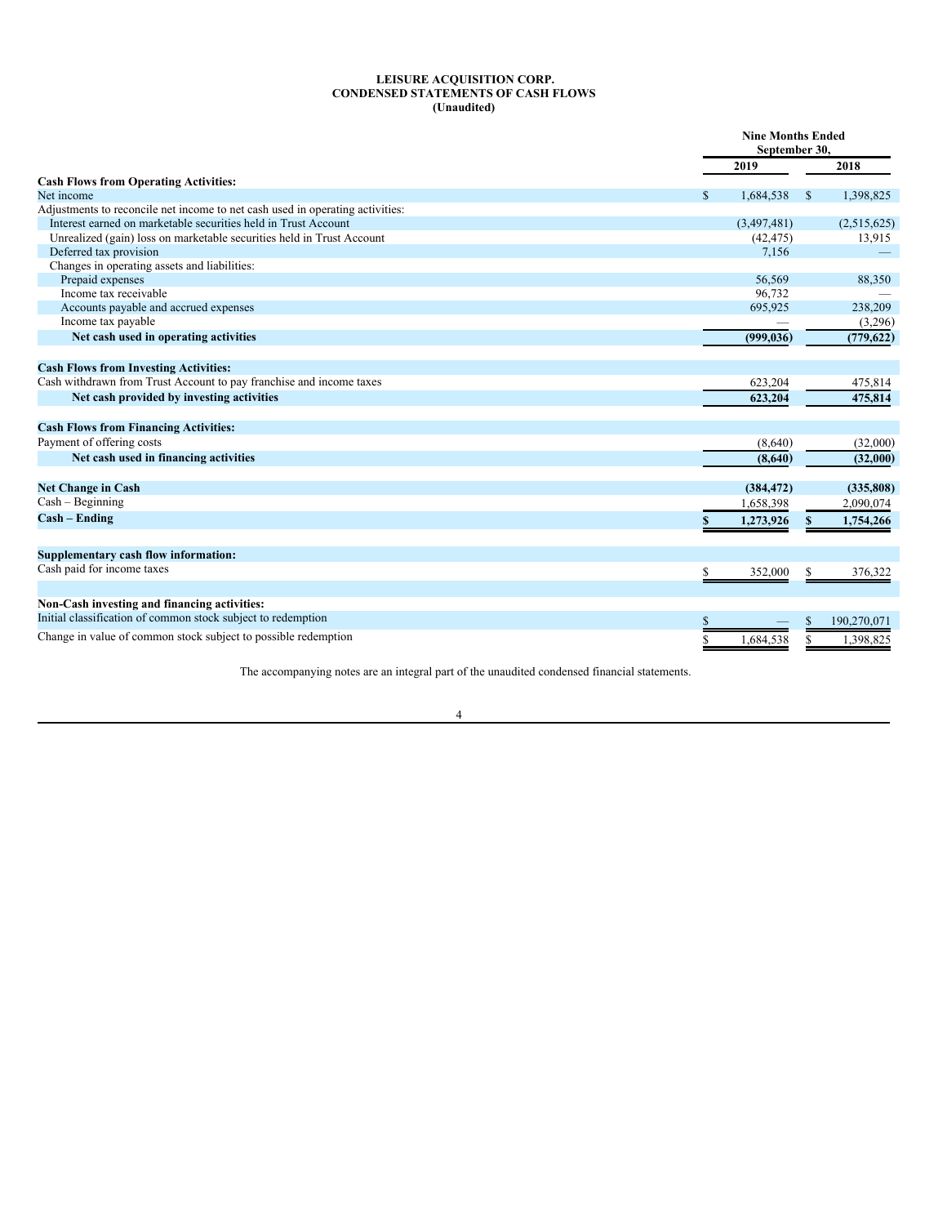#### <span id="page-5-0"></span>**LEISURE ACQUISITION CORP. CONDENSED STATEMENTS OF CASH FLOWS (Unaudited)**

|                                                                               |                 | <b>Nine Months Ended</b><br>September 30, |             |  |
|-------------------------------------------------------------------------------|-----------------|-------------------------------------------|-------------|--|
|                                                                               | 2019            |                                           | 2018        |  |
| <b>Cash Flows from Operating Activities:</b>                                  |                 |                                           |             |  |
| Net income                                                                    | \$<br>1,684,538 | <sup>\$</sup>                             | 1,398,825   |  |
| Adjustments to reconcile net income to net cash used in operating activities: |                 |                                           |             |  |
| Interest earned on marketable securities held in Trust Account                | (3,497,481)     |                                           | (2,515,625) |  |
| Unrealized (gain) loss on marketable securities held in Trust Account         | (42, 475)       |                                           | 13,915      |  |
| Deferred tax provision                                                        | 7,156           |                                           |             |  |
| Changes in operating assets and liabilities:                                  |                 |                                           |             |  |
| Prepaid expenses                                                              | 56,569          |                                           | 88,350      |  |
| Income tax receivable                                                         | 96,732          |                                           |             |  |
| Accounts payable and accrued expenses                                         | 695,925         |                                           | 238,209     |  |
| Income tax payable                                                            |                 |                                           | (3,296)     |  |
| Net cash used in operating activities                                         | (999, 036)      |                                           | (779, 622)  |  |
| <b>Cash Flows from Investing Activities:</b>                                  |                 |                                           |             |  |
| Cash withdrawn from Trust Account to pay franchise and income taxes           | 623,204         |                                           | 475,814     |  |
| Net cash provided by investing activities                                     | 623,204         |                                           |             |  |
|                                                                               |                 |                                           | 475,814     |  |
| <b>Cash Flows from Financing Activities:</b>                                  |                 |                                           |             |  |
| Payment of offering costs                                                     | (8,640)         |                                           | (32,000)    |  |
| Net cash used in financing activities                                         | (8,640)         |                                           | (32,000)    |  |
| <b>Net Change in Cash</b>                                                     | (384, 472)      |                                           | (335,808)   |  |
| $Cash - Beginning$                                                            | 1,658,398       |                                           | 2,090,074   |  |
|                                                                               |                 |                                           |             |  |
| $Cash - Ending$                                                               | 1,273,926       | S                                         | 1,754,266   |  |
| Supplementary cash flow information:                                          |                 |                                           |             |  |
| Cash paid for income taxes                                                    | S               |                                           |             |  |
|                                                                               | 352,000         |                                           | 376,322     |  |
| Non-Cash investing and financing activities:                                  |                 |                                           |             |  |
| Initial classification of common stock subject to redemption                  |                 |                                           | 190,270,071 |  |
| Change in value of common stock subject to possible redemption                | 1,684,538<br>\$ | \$                                        | 1,398,825   |  |

The accompanying notes are an integral part of the unaudited condensed financial statements.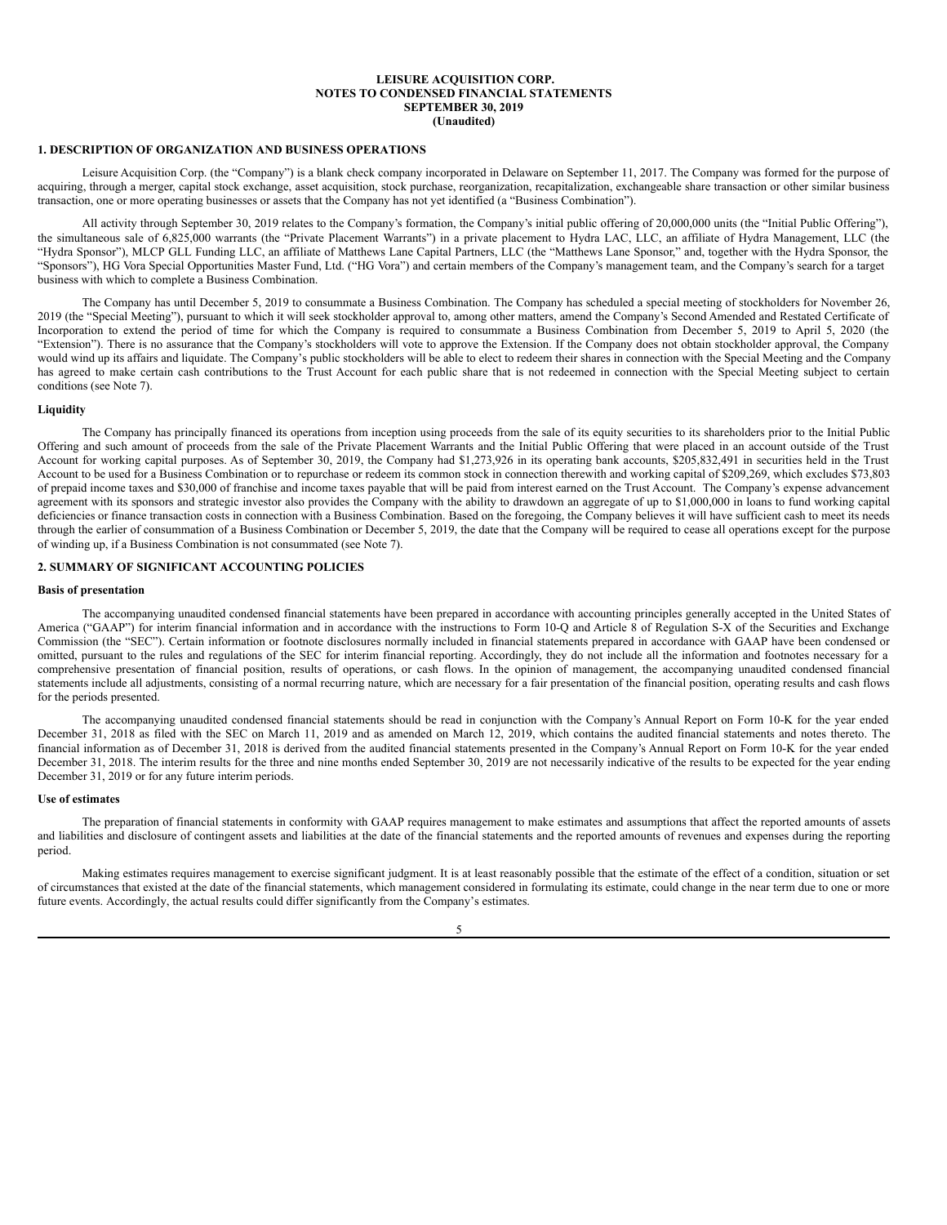## <span id="page-6-0"></span>**1. DESCRIPTION OF ORGANIZATION AND BUSINESS OPERATIONS**

Leisure Acquisition Corp. (the "Company") is a blank check company incorporated in Delaware on September 11, 2017. The Company was formed for the purpose of acquiring, through a merger, capital stock exchange, asset acquisition, stock purchase, reorganization, recapitalization, exchangeable share transaction or other similar business transaction, one or more operating businesses or assets that the Company has not yet identified (a "Business Combination").

All activity through September 30, 2019 relates to the Company's formation, the Company's initial public offering of 20,000,000 units (the "Initial Public Offering"), the simultaneous sale of 6,825,000 warrants (the "Private Placement Warrants") in a private placement to Hydra LAC, LLC, an affiliate of Hydra Management, LLC (the "Hydra Sponsor"), MLCP GLL Funding LLC, an affiliate of Matthews Lane Capital Partners, LLC (the "Matthews Lane Sponsor," and, together with the Hydra Sponsor, the "Sponsors"), HG Vora Special Opportunities Master Fund, Ltd. ("HG Vora") and certain members of the Company's management team, and the Company's search for a target business with which to complete a Business Combination.

The Company has until December 5, 2019 to consummate a Business Combination. The Company has scheduled a special meeting of stockholders for November 26, 2019 (the "Special Meeting"), pursuant to which it will seek stockholder approval to, among other matters, amend the Company's Second Amended and Restated Certificate of Incorporation to extend the period of time for which the Company is required to consummate a Business Combination from December 5, 2019 to April 5, 2020 (the "Extension"). There is no assurance that the Company's stockholders will vote to approve the Extension. If the Company does not obtain stockholder approval, the Company would wind up its affairs and liquidate. The Company's public stockholders will be able to elect to redeem their shares in connection with the Special Meeting and the Company has agreed to make certain cash contributions to the Trust Account for each public share that is not redeemed in connection with the Special Meeting subject to certain conditions (see Note 7).

## **Liquidity**

The Company has principally financed its operations from inception using proceeds from the sale of its equity securities to its shareholders prior to the Initial Public Offering and such amount of proceeds from the sale of the Private Placement Warrants and the Initial Public Offering that were placed in an account outside of the Trust Account for working capital purposes. As of September 30, 2019, the Company had \$1,273,926 in its operating bank accounts, \$205,832,491 in securities held in the Trust Account to be used for a Business Combination or to repurchase or redeem its common stock in connection therewith and working capital of \$209,269, which excludes \$73,803 of prepaid income taxes and \$30,000 of franchise and income taxes payable that will be paid from interest earned on the Trust Account. The Company's expense advancement agreement with its sponsors and strategic investor also provides the Company with the ability to drawdown an aggregate of up to \$1,000,000 in loans to fund working capital deficiencies or finance transaction costs in connection with a Business Combination. Based on the foregoing, the Company believes it will have sufficient cash to meet its needs through the earlier of consummation of a Business Combination or December 5, 2019, the date that the Company will be required to cease all operations except for the purpose of winding up, if a Business Combination is not consummated (see Note 7).

#### **2. SUMMARY OF SIGNIFICANT ACCOUNTING POLICIES**

#### **Basis of presentation**

The accompanying unaudited condensed financial statements have been prepared in accordance with accounting principles generally accepted in the United States of America ("GAAP") for interim financial information and in accordance with the instructions to Form 10-Q and Article 8 of Regulation S-X of the Securities and Exchange Commission (the "SEC"). Certain information or footnote disclosures normally included in financial statements prepared in accordance with GAAP have been condensed or omitted, pursuant to the rules and regulations of the SEC for interim financial reporting. Accordingly, they do not include all the information and footnotes necessary for a comprehensive presentation of financial position, results of operations, or cash flows. In the opinion of management, the accompanying unaudited condensed financial statements include all adjustments, consisting of a normal recurring nature, which are necessary for a fair presentation of the financial position, operating results and cash flows for the periods presented.

The accompanying unaudited condensed financial statements should be read in conjunction with the Company's Annual Report on Form 10-K for the year ended December 31, 2018 as filed with the SEC on March 11, 2019 and as amended on March 12, 2019, which contains the audited financial statements and notes thereto. The financial information as of December 31, 2018 is derived from the audited financial statements presented in the Company's Annual Report on Form 10-K for the year ended December 31, 2018. The interim results for the three and nine months ended September 30, 2019 are not necessarily indicative of the results to be expected for the year ending December 31, 2019 or for any future interim periods.

#### **Use of estimates**

The preparation of financial statements in conformity with GAAP requires management to make estimates and assumptions that affect the reported amounts of assets and liabilities and disclosure of contingent assets and liabilities at the date of the financial statements and the reported amounts of revenues and expenses during the reporting period.

Making estimates requires management to exercise significant judgment. It is at least reasonably possible that the estimate of the effect of a condition, situation or set of circumstances that existed at the date of the financial statements, which management considered in formulating its estimate, could change in the near term due to one or more future events. Accordingly, the actual results could differ significantly from the Company's estimates.

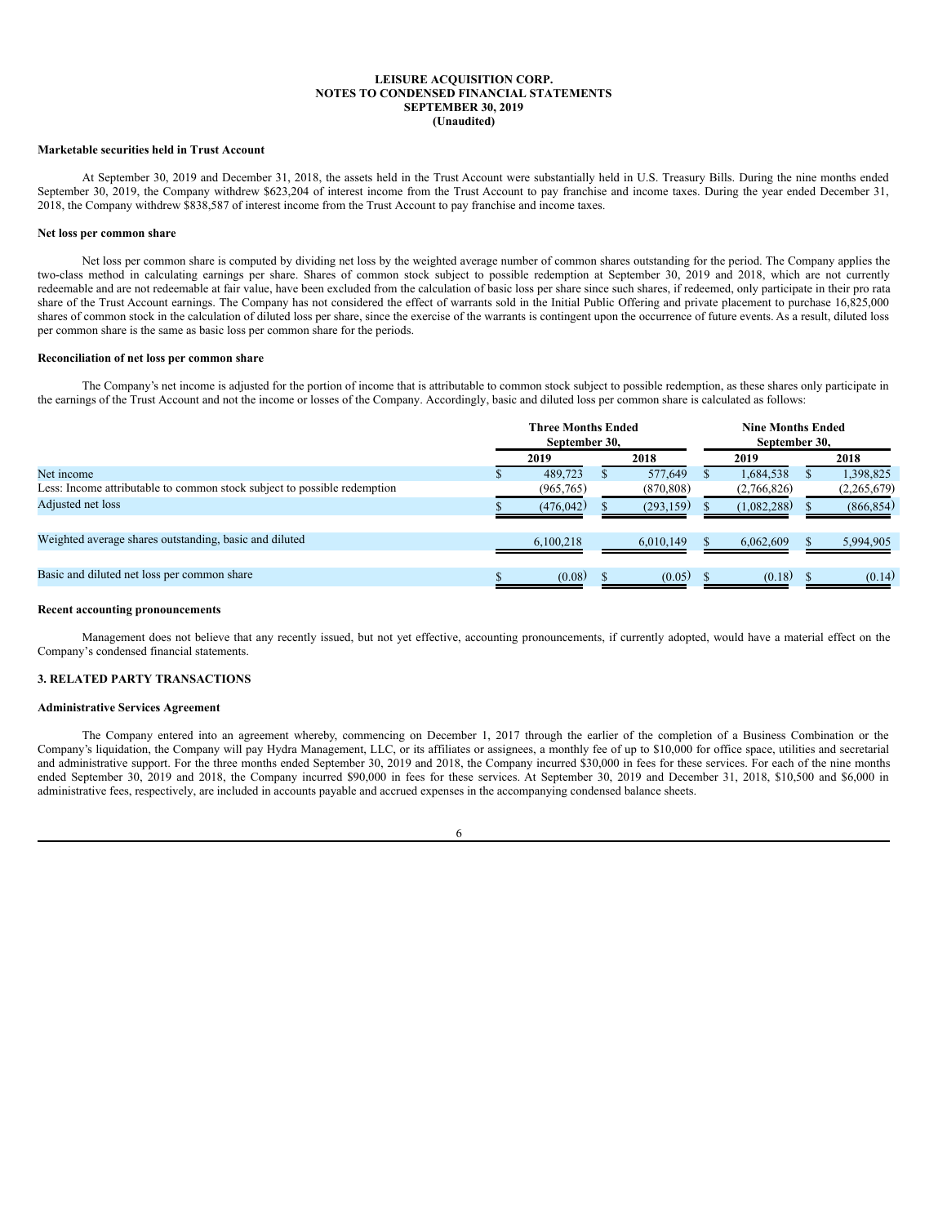## **Marketable securities held in Trust Account**

At September 30, 2019 and December 31, 2018, the assets held in the Trust Account were substantially held in U.S. Treasury Bills. During the nine months ended September 30, 2019, the Company withdrew \$623,204 of interest income from the Trust Account to pay franchise and income taxes. During the year ended December 31, 2018, the Company withdrew \$838,587 of interest income from the Trust Account to pay franchise and income taxes.

#### **Net loss per common share**

Net loss per common share is computed by dividing net loss by the weighted average number of common shares outstanding for the period. The Company applies the two-class method in calculating earnings per share. Shares of common stock subject to possible redemption at September 30, 2019 and 2018, which are not currently redeemable and are not redeemable at fair value, have been excluded from the calculation of basic loss per share since such shares, if redeemed, only participate in their pro rata share of the Trust Account earnings. The Company has not considered the effect of warrants sold in the Initial Public Offering and private placement to purchase 16,825,000 shares of common stock in the calculation of diluted loss per share, since the exercise of the warrants is contingent upon the occurrence of future events. As a result, diluted loss per common share is the same as basic loss per common share for the periods.

#### **Reconciliation of net loss per common share**

The Company's net income is adjusted for the portion of income that is attributable to common stock subject to possible redemption, as these shares only participate in the earnings of the Trust Account and not the income or losses of the Company. Accordingly, basic and diluted loss per common share is calculated as follows:

|                                                                          | <b>Three Months Ended</b><br>September 30, |            |  | <b>Nine Months Ended</b><br>September 30, |  |             |  |             |
|--------------------------------------------------------------------------|--------------------------------------------|------------|--|-------------------------------------------|--|-------------|--|-------------|
|                                                                          |                                            | 2019       |  | 2018                                      |  | 2019        |  | 2018        |
| Net income                                                               |                                            | 489,723    |  | 577,649                                   |  | 1,684,538   |  | 1,398,825   |
| Less: Income attributable to common stock subject to possible redemption |                                            | (965, 765) |  | (870, 808)                                |  | (2,766,826) |  | (2,265,679) |
| Adjusted net loss                                                        |                                            | (476, 042) |  | (293, 159)                                |  | (1,082,288) |  | (866, 854)  |
| Weighted average shares outstanding, basic and diluted                   |                                            | 6,100,218  |  | 6.010.149                                 |  | 6.062.609   |  | 5,994,905   |
| Basic and diluted net loss per common share                              |                                            | (0.08)     |  | (0.05)                                    |  | (0.18)      |  | (0.14)      |

## **Recent accounting pronouncements**

Management does not believe that any recently issued, but not yet effective, accounting pronouncements, if currently adopted, would have a material effect on the Company's condensed financial statements.

## **3. RELATED PARTY TRANSACTIONS**

## **Administrative Services Agreement**

The Company entered into an agreement whereby, commencing on December 1, 2017 through the earlier of the completion of a Business Combination or the Company's liquidation, the Company will pay Hydra Management, LLC, or its affiliates or assignees, a monthly fee of up to \$10,000 for office space, utilities and secretarial and administrative support. For the three months ended September 30, 2019 and 2018, the Company incurred \$30,000 in fees for these services. For each of the nine months ended September 30, 2019 and 2018, the Company incurred \$90,000 in fees for these services. At September 30, 2019 and December 31, 2018, \$10,500 and \$6,000 in administrative fees, respectively, are included in accounts payable and accrued expenses in the accompanying condensed balance sheets.

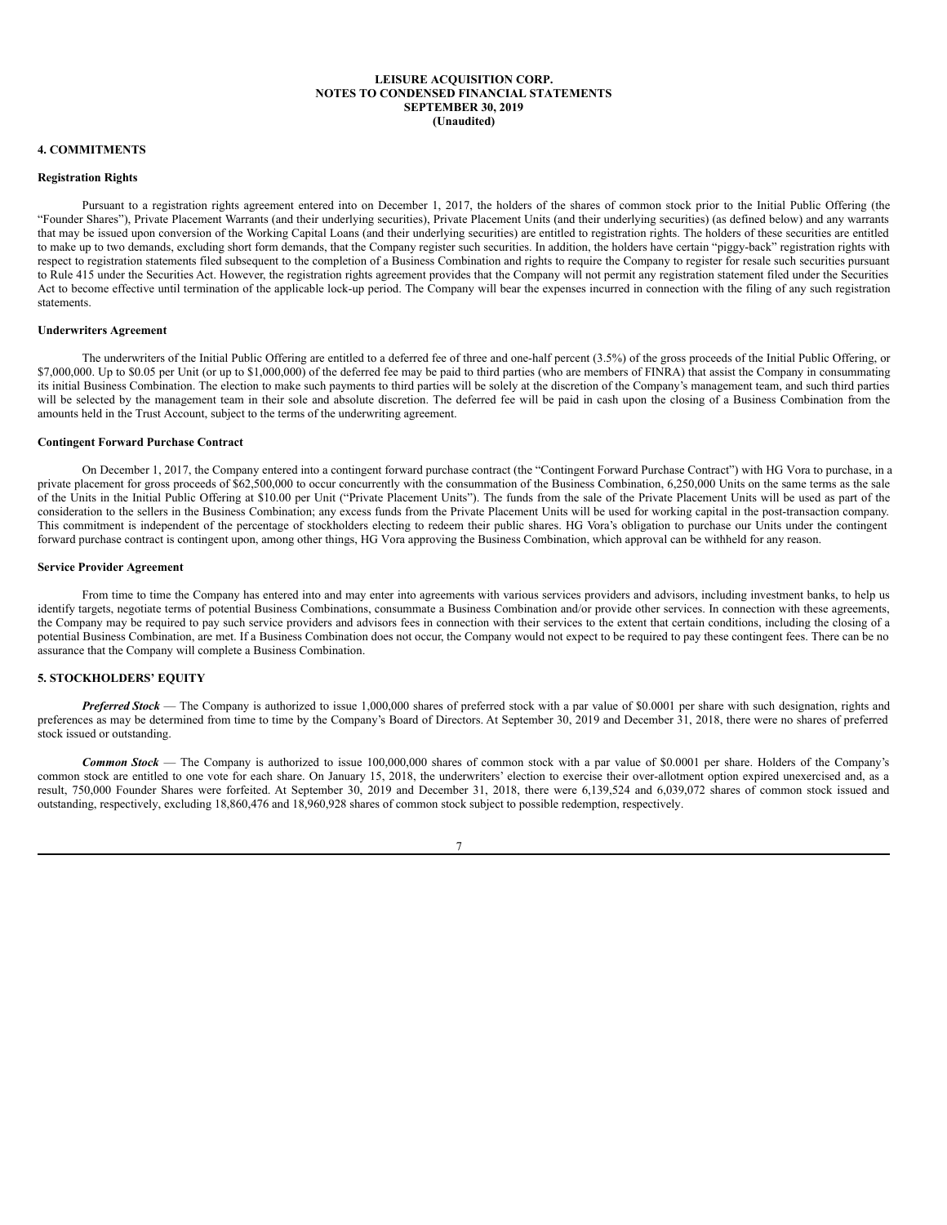## **4. COMMITMENTS**

## **Registration Rights**

Pursuant to a registration rights agreement entered into on December 1, 2017, the holders of the shares of common stock prior to the Initial Public Offering (the "Founder Shares"), Private Placement Warrants (and their underlying securities), Private Placement Units (and their underlying securities) (as defined below) and any warrants that may be issued upon conversion of the Working Capital Loans (and their underlying securities) are entitled to registration rights. The holders of these securities are entitled to make up to two demands, excluding short form demands, that the Company register such securities. In addition, the holders have certain "piggy-back" registration rights with respect to registration statements filed subsequent to the completion of a Business Combination and rights to require the Company to register for resale such securities pursuant to Rule 415 under the Securities Act. However, the registration rights agreement provides that the Company will not permit any registration statement filed under the Securities Act to become effective until termination of the applicable lock-up period. The Company will bear the expenses incurred in connection with the filing of any such registration statements.

## **Underwriters Agreement**

The underwriters of the Initial Public Offering are entitled to a deferred fee of three and one-half percent (3.5%) of the gross proceeds of the Initial Public Offering, or \$7,000,000. Up to \$0.05 per Unit (or up to \$1,000,000) of the deferred fee may be paid to third parties (who are members of FINRA) that assist the Company in consummating its initial Business Combination. The election to make such payments to third parties will be solely at the discretion of the Company's management team, and such third parties will be selected by the management team in their sole and absolute discretion. The deferred fee will be paid in cash upon the closing of a Business Combination from the amounts held in the Trust Account, subject to the terms of the underwriting agreement.

## **Contingent Forward Purchase Contract**

On December 1, 2017, the Company entered into a contingent forward purchase contract (the "Contingent Forward Purchase Contract") with HG Vora to purchase, in a private placement for gross proceeds of \$62,500,000 to occur concurrently with the consummation of the Business Combination, 6,250,000 Units on the same terms as the sale of the Units in the Initial Public Offering at \$10.00 per Unit ("Private Placement Units"). The funds from the sale of the Private Placement Units will be used as part of the consideration to the sellers in the Business Combination; any excess funds from the Private Placement Units will be used for working capital in the post-transaction company. This commitment is independent of the percentage of stockholders electing to redeem their public shares. HG Vora's obligation to purchase our Units under the contingent forward purchase contract is contingent upon, among other things, HG Vora approving the Business Combination, which approval can be withheld for any reason.

#### **Service Provider Agreement**

From time to time the Company has entered into and may enter into agreements with various services providers and advisors, including investment banks, to help us identify targets, negotiate terms of potential Business Combinations, consummate a Business Combination and/or provide other services. In connection with these agreements, the Company may be required to pay such service providers and advisors fees in connection with their services to the extent that certain conditions, including the closing of a potential Business Combination, are met. If a Business Combination does not occur, the Company would not expect to be required to pay these contingent fees. There can be no assurance that the Company will complete a Business Combination.

## **5. STOCKHOLDERS' EQUITY**

*Preferred Stock* — The Company is authorized to issue 1,000,000 shares of preferred stock with a par value of \$0.0001 per share with such designation, rights and preferences as may be determined from time to time by the Company's Board of Directors. At September 30, 2019 and December 31, 2018, there were no shares of preferred stock issued or outstanding.

*Common Stock* — The Company is authorized to issue 100,000,000 shares of common stock with a par value of \$0.0001 per share. Holders of the Company's common stock are entitled to one vote for each share. On January 15, 2018, the underwriters' election to exercise their over-allotment option expired unexercised and, as a result, 750,000 Founder Shares were forfeited. At September 30, 2019 and December 31, 2018, there were 6,139,524 and 6,039,072 shares of common stock issued and outstanding, respectively, excluding 18,860,476 and 18,960,928 shares of common stock subject to possible redemption, respectively.

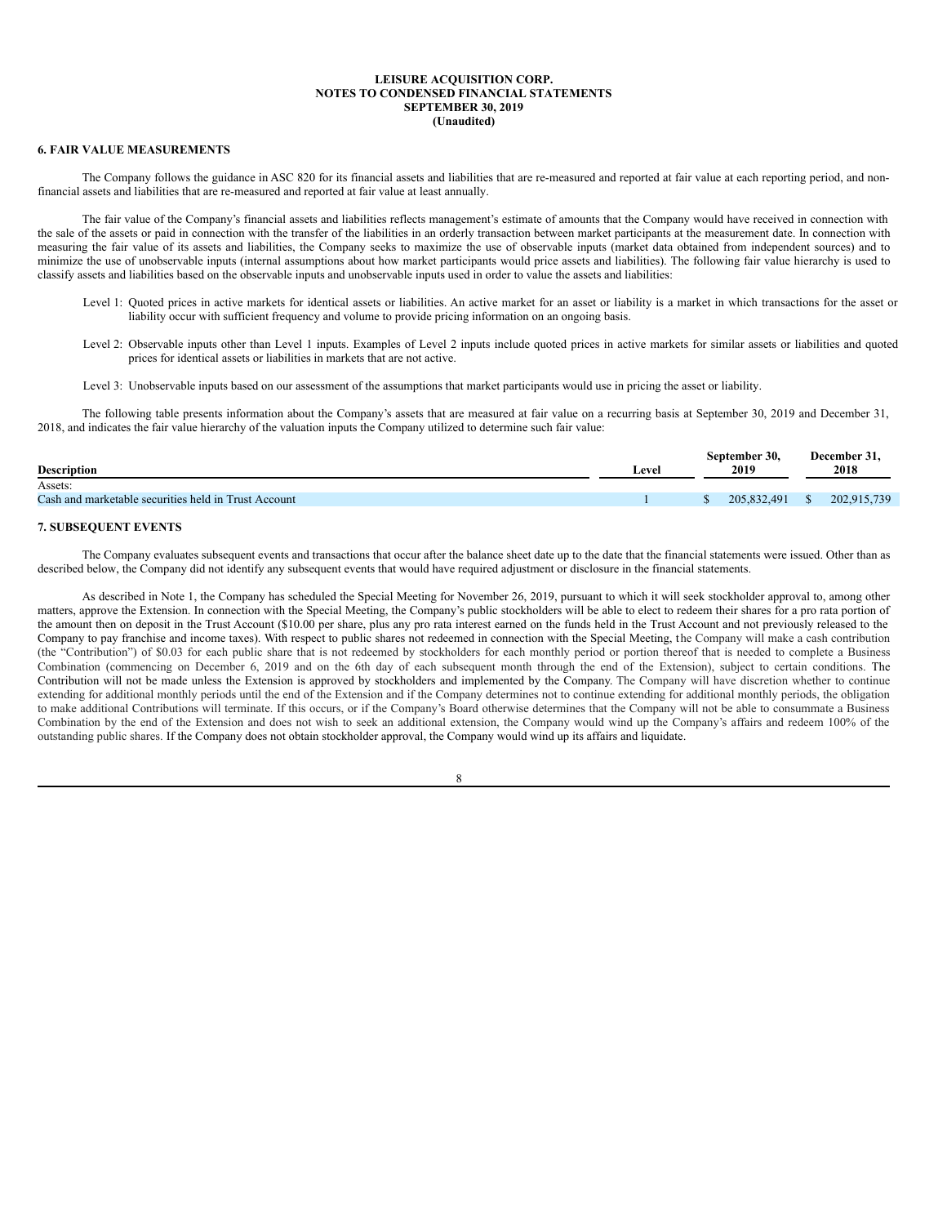## **6. FAIR VALUE MEASUREMENTS**

The Company follows the guidance in ASC 820 for its financial assets and liabilities that are re-measured and reported at fair value at each reporting period, and nonfinancial assets and liabilities that are re-measured and reported at fair value at least annually.

The fair value of the Company's financial assets and liabilities reflects management's estimate of amounts that the Company would have received in connection with the sale of the assets or paid in connection with the transfer of the liabilities in an orderly transaction between market participants at the measurement date. In connection with measuring the fair value of its assets and liabilities, the Company seeks to maximize the use of observable inputs (market data obtained from independent sources) and to minimize the use of unobservable inputs (internal assumptions about how market participants would price assets and liabilities). The following fair value hierarchy is used to classify assets and liabilities based on the observable inputs and unobservable inputs used in order to value the assets and liabilities:

- Level 1: Quoted prices in active markets for identical assets or liabilities. An active market for an asset or liability is a market in which transactions for the asset or liability occur with sufficient frequency and volume to provide pricing information on an ongoing basis.
- Level 2: Observable inputs other than Level 1 inputs. Examples of Level 2 inputs include quoted prices in active markets for similar assets or liabilities and quoted prices for identical assets or liabilities in markets that are not active.
- Level 3: Unobservable inputs based on our assessment of the assumptions that market participants would use in pricing the asset or liability.

The following table presents information about the Company's assets that are measured at fair value on a recurring basis at September 30, 2019 and December 31, 2018, and indicates the fair value hierarchy of the valuation inputs the Company utilized to determine such fair value:

| <b>Description</b>                                   | Level | September 30.<br>2019 | December 31,<br>2018 |
|------------------------------------------------------|-------|-----------------------|----------------------|
| Assets:                                              |       |                       |                      |
| Cash and marketable securities held in Trust Account |       | 205,832,491           | 202.915.739          |
|                                                      |       |                       |                      |

## **7. SUBSEQUENT EVENTS**

The Company evaluates subsequent events and transactions that occur after the balance sheet date up to the date that the financial statements were issued. Other than as described below, the Company did not identify any subsequent events that would have required adjustment or disclosure in the financial statements.

As described in Note 1, the Company has scheduled the Special Meeting for November 26, 2019, pursuant to which it will seek stockholder approval to, among other matters, approve the Extension. In connection with the Special Meeting, the Company's public stockholders will be able to elect to redeem their shares for a pro rata portion of the amount then on deposit in the Trust Account (\$10.00 per share, plus any pro rata interest earned on the funds held in the Trust Account and not previously released to the Company to pay franchise and income taxes). With respect to public shares not redeemed in connection with the Special Meeting, the Company will make a cash contribution (the "Contribution") of \$0.03 for each public share that is not redeemed by stockholders for each monthly period or portion thereof that is needed to complete a Business Combination (commencing on December 6, 2019 and on the 6th day of each subsequent month through the end of the Extension), subject to certain conditions. The Contribution will not be made unless the Extension is approved by stockholders and implemented by the Company. The Company will have discretion whether to continue extending for additional monthly periods until the end of the Extension and if the Company determines not to continue extending for additional monthly periods, the obligation to make additional Contributions will terminate. If this occurs, or if the Company's Board otherwise determines that the Company will not be able to consummate a Business Combination by the end of the Extension and does not wish to seek an additional extension, the Company would wind up the Company's affairs and redeem 100% of the outstanding public shares. If the Company does not obtain stockholder approval, the Company would wind up its affairs and liquidate.

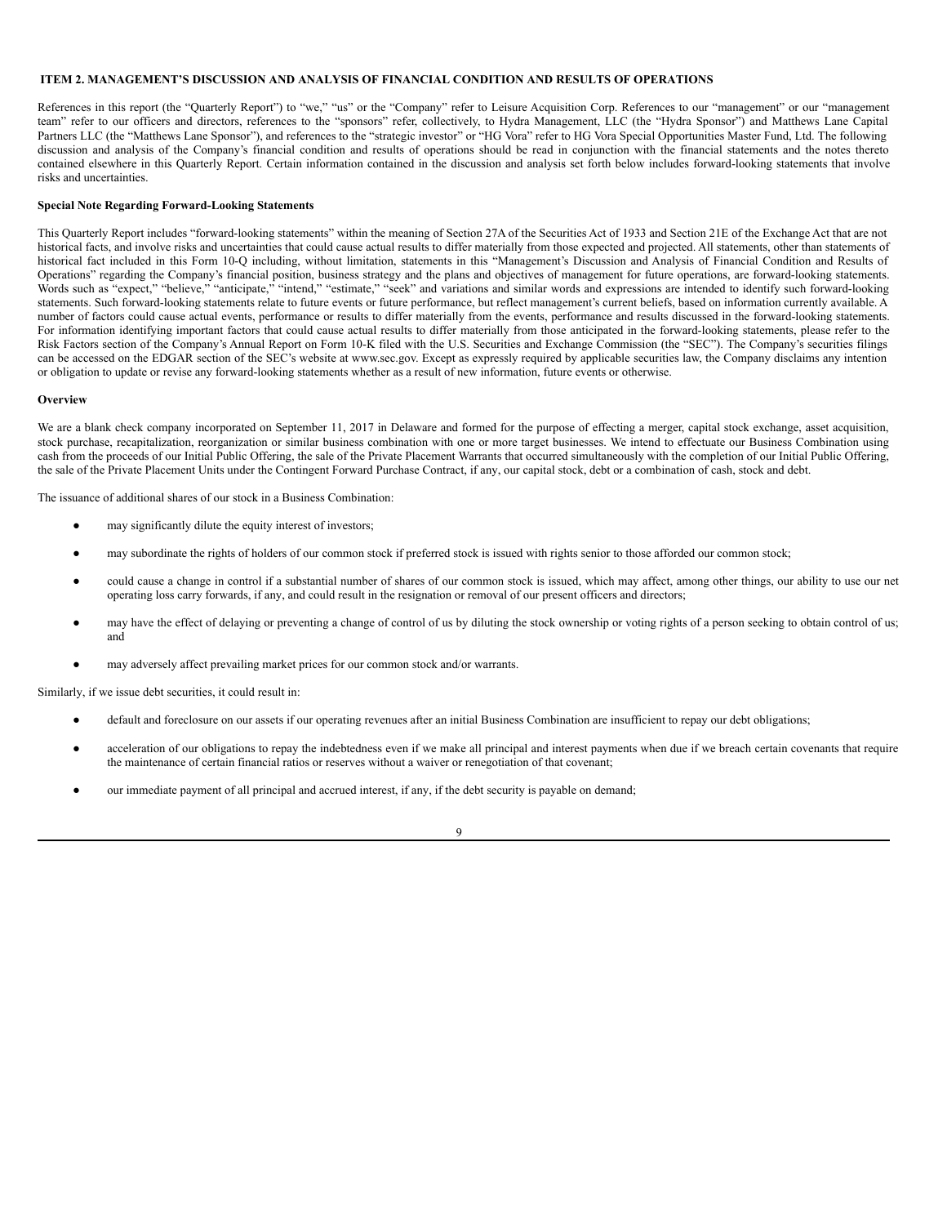## <span id="page-10-0"></span>**ITEM 2. MANAGEMENT'S DISCUSSION AND ANALYSIS OF FINANCIAL CONDITION AND RESULTS OF OPERATIONS**

References in this report (the "Quarterly Report") to "we," "us" or the "Company" refer to Leisure Acquisition Corp. References to our "management" or our "management team" refer to our officers and directors, references to the "sponsors" refer, collectively, to Hydra Management, LLC (the "Hydra Sponsor") and Matthews Lane Capital Partners LLC (the "Matthews Lane Sponsor"), and references to the "strategic investor" or "HG Vora" refer to HG Vora Special Opportunities Master Fund, Ltd. The following discussion and analysis of the Company's financial condition and results of operations should be read in conjunction with the financial statements and the notes thereto contained elsewhere in this Quarterly Report. Certain information contained in the discussion and analysis set forth below includes forward-looking statements that involve risks and uncertainties.

## **Special Note Regarding Forward-Looking Statements**

This Quarterly Report includes "forward-looking statements" within the meaning of Section 27A of the Securities Act of 1933 and Section 21E of the Exchange Act that are not historical facts, and involve risks and uncertainties that could cause actual results to differ materially from those expected and projected. All statements, other than statements of historical fact included in this Form 10-Q including, without limitation, statements in this "Management's Discussion and Analysis of Financial Condition and Results of Operations" regarding the Company's financial position, business strategy and the plans and objectives of management for future operations, are forward-looking statements. Words such as "expect," "believe," "anticipate," "intend," "estimate," "seek" and variations and similar words and expressions are intended to identify such forward-looking statements. Such forward-looking statements relate to future events or future performance, but reflect management's current beliefs, based on information currently available. A number of factors could cause actual events, performance or results to differ materially from the events, performance and results discussed in the forward-looking statements. For information identifying important factors that could cause actual results to differ materially from those anticipated in the forward-looking statements, please refer to the Risk Factors section of the Company's Annual Report on Form 10-K filed with the U.S. Securities and Exchange Commission (the "SEC"). The Company's securities filings can be accessed on the EDGAR section of the SEC's website at www.sec.gov. Except as expressly required by applicable securities law, the Company disclaims any intention or obligation to update or revise any forward-looking statements whether as a result of new information, future events or otherwise.

## **Overview**

We are a blank check company incorporated on September 11, 2017 in Delaware and formed for the purpose of effecting a merger, capital stock exchange, asset acquisition, stock purchase, recapitalization, reorganization or similar business combination with one or more target businesses. We intend to effectuate our Business Combination using cash from the proceeds of our Initial Public Offering, the sale of the Private Placement Warrants that occurred simultaneously with the completion of our Initial Public Offering, the sale of the Private Placement Units under the Contingent Forward Purchase Contract, if any, our capital stock, debt or a combination of cash, stock and debt.

The issuance of additional shares of our stock in a Business Combination:

- may significantly dilute the equity interest of investors;
- may subordinate the rights of holders of our common stock if preferred stock is issued with rights senior to those afforded our common stock;
- could cause a change in control if a substantial number of shares of our common stock is issued, which may affect, among other things, our ability to use our net operating loss carry forwards, if any, and could result in the resignation or removal of our present officers and directors;
- may have the effect of delaying or preventing a change of control of us by diluting the stock ownership or voting rights of a person seeking to obtain control of us; and
- may adversely affect prevailing market prices for our common stock and/or warrants.

Similarly, if we issue debt securities, it could result in:

- default and foreclosure on our assets if our operating revenues after an initial Business Combination are insufficient to repay our debt obligations;
- acceleration of our obligations to repay the indebtedness even if we make all principal and interest payments when due if we breach certain covenants that require the maintenance of certain financial ratios or reserves without a waiver or renegotiation of that covenant;
- our immediate payment of all principal and accrued interest, if any, if the debt security is payable on demand;

 $\overline{Q}$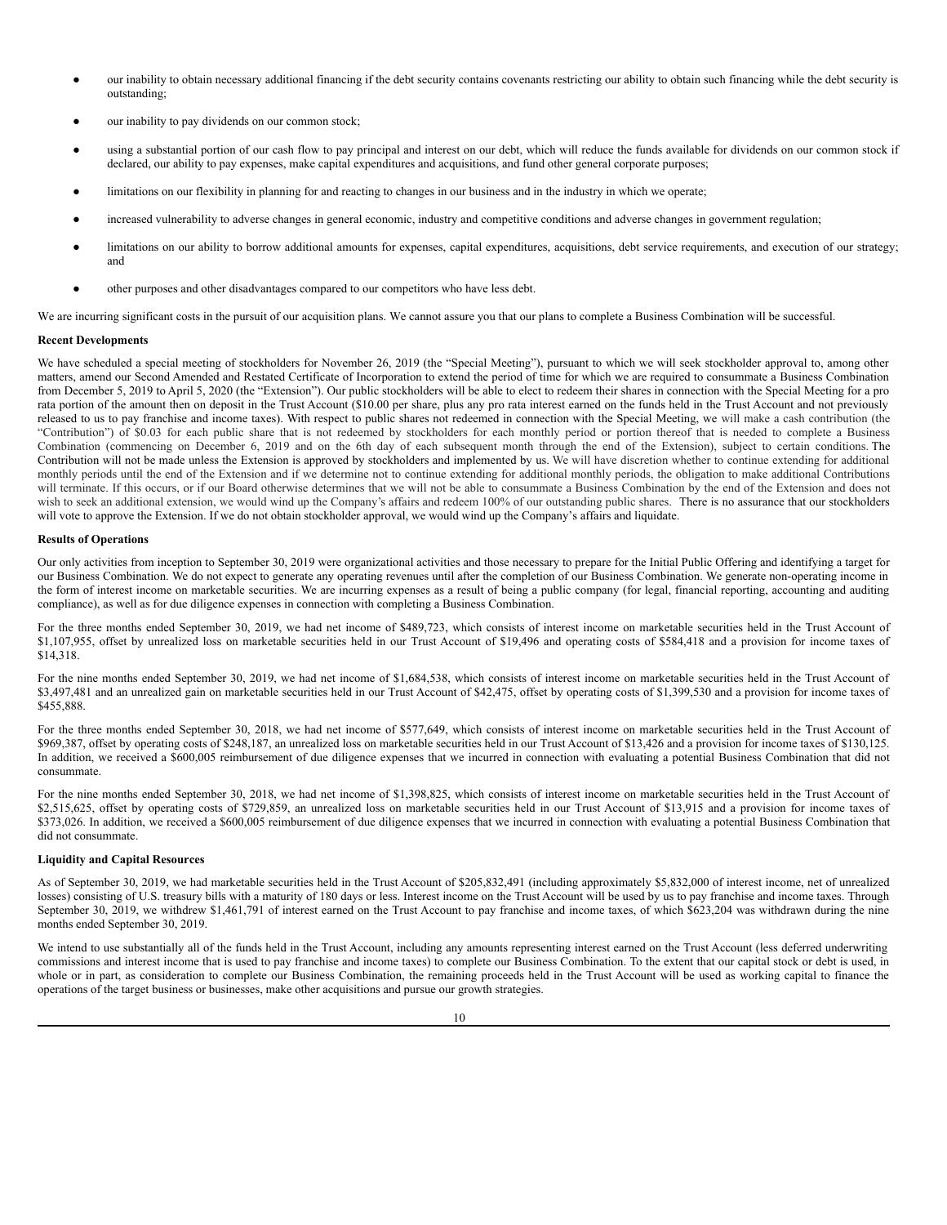- our inability to obtain necessary additional financing if the debt security contains covenants restricting our ability to obtain such financing while the debt security is outstanding;
- our inability to pay dividends on our common stock;
- using a substantial portion of our cash flow to pay principal and interest on our debt, which will reduce the funds available for dividends on our common stock if declared, our ability to pay expenses, make capital expenditures and acquisitions, and fund other general corporate purposes;
- limitations on our flexibility in planning for and reacting to changes in our business and in the industry in which we operate;
- increased vulnerability to adverse changes in general economic, industry and competitive conditions and adverse changes in government regulation;
- limitations on our ability to borrow additional amounts for expenses, capital expenditures, acquisitions, debt service requirements, and execution of our strategy; and
- other purposes and other disadvantages compared to our competitors who have less debt.

We are incurring significant costs in the pursuit of our acquisition plans. We cannot assure you that our plans to complete a Business Combination will be successful.

#### **Recent Developments**

We have scheduled a special meeting of stockholders for November 26, 2019 (the "Special Meeting"), pursuant to which we will seek stockholder approval to, among other matters, amend our Second Amended and Restated Certificate of Incorporation to extend the period of time for which we are required to consummate a Business Combination from December 5, 2019 to April 5, 2020 (the "Extension"). Our public stockholders will be able to elect to redeem their shares in connection with the Special Meeting for a pro rata portion of the amount then on deposit in the Trust Account (\$10.00 per share, plus any pro rata interest earned on the funds held in the Trust Account and not previously released to us to pay franchise and income taxes). With respect to public shares not redeemed in connection with the Special Meeting, we will make a cash contribution (the "Contribution") of \$0.03 for each public share that is not redeemed by stockholders for each monthly period or portion thereof that is needed to complete a Business Combination (commencing on December 6, 2019 and on the 6th day of each subsequent month through the end of the Extension), subject to certain conditions. The Contribution will not be made unless the Extension is approved by stockholders and implemented by us. We will have discretion whether to continue extending for additional monthly periods until the end of the Extension and if we determine not to continue extending for additional monthly periods, the obligation to make additional Contributions will terminate. If this occurs, or if our Board otherwise determines that we will not be able to consummate a Business Combination by the end of the Extension and does not wish to seek an additional extension, we would wind up the Company's affairs and redeem 100% of our outstanding public shares. There is no assurance that our stockholders will vote to approve the Extension. If we do not obtain stockholder approval, we would wind up the Company's affairs and liquidate.

#### **Results of Operations**

Our only activities from inception to September 30, 2019 were organizational activities and those necessary to prepare for the Initial Public Offering and identifying a target for our Business Combination. We do not expect to generate any operating revenues until after the completion of our Business Combination. We generate non-operating income in the form of interest income on marketable securities. We are incurring expenses as a result of being a public company (for legal, financial reporting, accounting and auditing compliance), as well as for due diligence expenses in connection with completing a Business Combination.

For the three months ended September 30, 2019, we had net income of \$489,723, which consists of interest income on marketable securities held in the Trust Account of \$1,107,955, offset by unrealized loss on marketable securities held in our Trust Account of \$19,496 and operating costs of \$584,418 and a provision for income taxes of \$14,318.

For the nine months ended September 30, 2019, we had net income of \$1,684,538, which consists of interest income on marketable securities held in the Trust Account of \$3,497,481 and an unrealized gain on marketable securities held in our Trust Account of \$42,475, offset by operating costs of \$1,399,530 and a provision for income taxes of \$455,888.

For the three months ended September 30, 2018, we had net income of \$577,649, which consists of interest income on marketable securities held in the Trust Account of \$969,387, offset by operating costs of \$248,187, an unrealized loss on marketable securities held in our Trust Account of \$13,426 and a provision for income taxes of \$130,125. In addition, we received a \$600,005 reimbursement of due diligence expenses that we incurred in connection with evaluating a potential Business Combination that did not consummate.

For the nine months ended September 30, 2018, we had net income of \$1,398,825, which consists of interest income on marketable securities held in the Trust Account of \$2,515,625, offset by operating costs of \$729,859, an unrealized loss on marketable securities held in our Trust Account of \$13,915 and a provision for income taxes of \$373,026. In addition, we received a \$600,005 reimbursement of due diligence expenses that we incurred in connection with evaluating a potential Business Combination that did not consummate.

## **Liquidity and Capital Resources**

As of September 30, 2019, we had marketable securities held in the Trust Account of \$205,832,491 (including approximately \$5,832,000 of interest income, net of unrealized losses) consisting of U.S. treasury bills with a maturity of 180 days or less. Interest income on the Trust Account will be used by us to pay franchise and income taxes. Through September 30, 2019, we withdrew \$1,461,791 of interest earned on the Trust Account to pay franchise and income taxes, of which \$623,204 was withdrawn during the nine months ended September 30, 2019.

We intend to use substantially all of the funds held in the Trust Account, including any amounts representing interest earned on the Trust Account (less deferred underwriting commissions and interest income that is used to pay franchise and income taxes) to complete our Business Combination. To the extent that our capital stock or debt is used, in whole or in part, as consideration to complete our Business Combination, the remaining proceeds held in the Trust Account will be used as working capital to finance the operations of the target business or businesses, make other acquisitions and pursue our growth strategies.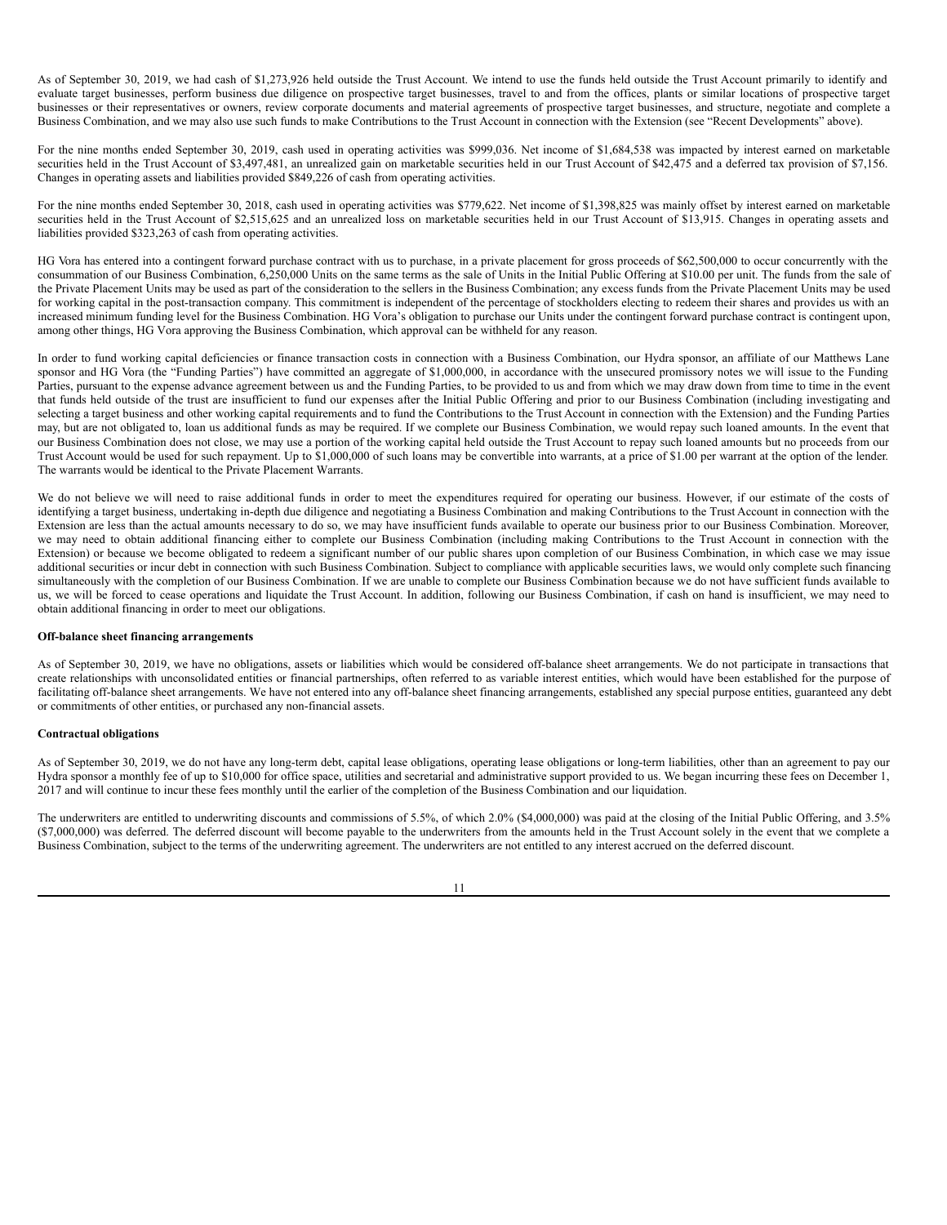As of September 30, 2019, we had cash of \$1,273,926 held outside the Trust Account. We intend to use the funds held outside the Trust Account primarily to identify and evaluate target businesses, perform business due diligence on prospective target businesses, travel to and from the offices, plants or similar locations of prospective target businesses or their representatives or owners, review corporate documents and material agreements of prospective target businesses, and structure, negotiate and complete a Business Combination, and we may also use such funds to make Contributions to the Trust Account in connection with the Extension (see "Recent Developments" above).

For the nine months ended September 30, 2019, cash used in operating activities was \$999,036. Net income of \$1,684,538 was impacted by interest earned on marketable securities held in the Trust Account of \$3,497,481, an unrealized gain on marketable securities held in our Trust Account of \$42,475 and a deferred tax provision of \$7,156. Changes in operating assets and liabilities provided \$849,226 of cash from operating activities.

For the nine months ended September 30, 2018, cash used in operating activities was \$779,622. Net income of \$1,398,825 was mainly offset by interest earned on marketable securities held in the Trust Account of \$2,515,625 and an unrealized loss on marketable securities held in our Trust Account of \$13,915. Changes in operating assets and liabilities provided \$323,263 of cash from operating activities.

HG Vora has entered into a contingent forward purchase contract with us to purchase, in a private placement for gross proceeds of \$62,500,000 to occur concurrently with the consummation of our Business Combination, 6,250,000 Units on the same terms as the sale of Units in the Initial Public Offering at \$10.00 per unit. The funds from the sale of the Private Placement Units may be used as part of the consideration to the sellers in the Business Combination; any excess funds from the Private Placement Units may be used for working capital in the post-transaction company. This commitment is independent of the percentage of stockholders electing to redeem their shares and provides us with an increased minimum funding level for the Business Combination. HG Vora's obligation to purchase our Units under the contingent forward purchase contract is contingent upon, among other things, HG Vora approving the Business Combination, which approval can be withheld for any reason.

In order to fund working capital deficiencies or finance transaction costs in connection with a Business Combination, our Hydra sponsor, an affiliate of our Matthews Lane sponsor and HG Vora (the "Funding Parties") have committed an aggregate of \$1,000,000, in accordance with the unsecured promissory notes we will issue to the Funding Parties, pursuant to the expense advance agreement between us and the Funding Parties, to be provided to us and from which we may draw down from time to time in the event that funds held outside of the trust are insufficient to fund our expenses after the Initial Public Offering and prior to our Business Combination (including investigating and selecting a target business and other working capital requirements and to fund the Contributions to the Trust Account in connection with the Extension) and the Funding Parties may, but are not obligated to, loan us additional funds as may be required. If we complete our Business Combination, we would repay such loaned amounts. In the event that our Business Combination does not close, we may use a portion of the working capital held outside the Trust Account to repay such loaned amounts but no proceeds from our Trust Account would be used for such repayment. Up to \$1,000,000 of such loans may be convertible into warrants, at a price of \$1.00 per warrant at the option of the lender. The warrants would be identical to the Private Placement Warrants.

We do not believe we will need to raise additional funds in order to meet the expenditures required for operating our business. However, if our estimate of the costs of identifying a target business, undertaking in-depth due diligence and negotiating a Business Combination and making Contributions to the Trust Account in connection with the Extension are less than the actual amounts necessary to do so, we may have insufficient funds available to operate our business prior to our Business Combination. Moreover, we may need to obtain additional financing either to complete our Business Combination (including making Contributions to the Trust Account in connection with the Extension) or because we become obligated to redeem a significant number of our public shares upon completion of our Business Combination, in which case we may issue additional securities or incur debt in connection with such Business Combination. Subject to compliance with applicable securities laws, we would only complete such financing simultaneously with the completion of our Business Combination. If we are unable to complete our Business Combination because we do not have sufficient funds available to us, we will be forced to cease operations and liquidate the Trust Account. In addition, following our Business Combination, if cash on hand is insufficient, we may need to obtain additional financing in order to meet our obligations.

## **Off-balance sheet financing arrangements**

As of September 30, 2019, we have no obligations, assets or liabilities which would be considered off-balance sheet arrangements. We do not participate in transactions that create relationships with unconsolidated entities or financial partnerships, often referred to as variable interest entities, which would have been established for the purpose of facilitating off-balance sheet arrangements. We have not entered into any off-balance sheet financing arrangements, established any special purpose entities, guaranteed any debt or commitments of other entities, or purchased any non-financial assets.

## **Contractual obligations**

As of September 30, 2019, we do not have any long-term debt, capital lease obligations, operating lease obligations or long-term liabilities, other than an agreement to pay our Hydra sponsor a monthly fee of up to \$10,000 for office space, utilities and secretarial and administrative support provided to us. We began incurring these fees on December 1, 2017 and will continue to incur these fees monthly until the earlier of the completion of the Business Combination and our liquidation.

The underwriters are entitled to underwriting discounts and commissions of 5.5%, of which 2.0% (\$4,000,000) was paid at the closing of the Initial Public Offering, and 3.5% (\$7,000,000) was deferred. The deferred discount will become payable to the underwriters from the amounts held in the Trust Account solely in the event that we complete a Business Combination, subject to the terms of the underwriting agreement. The underwriters are not entitled to any interest accrued on the deferred discount.

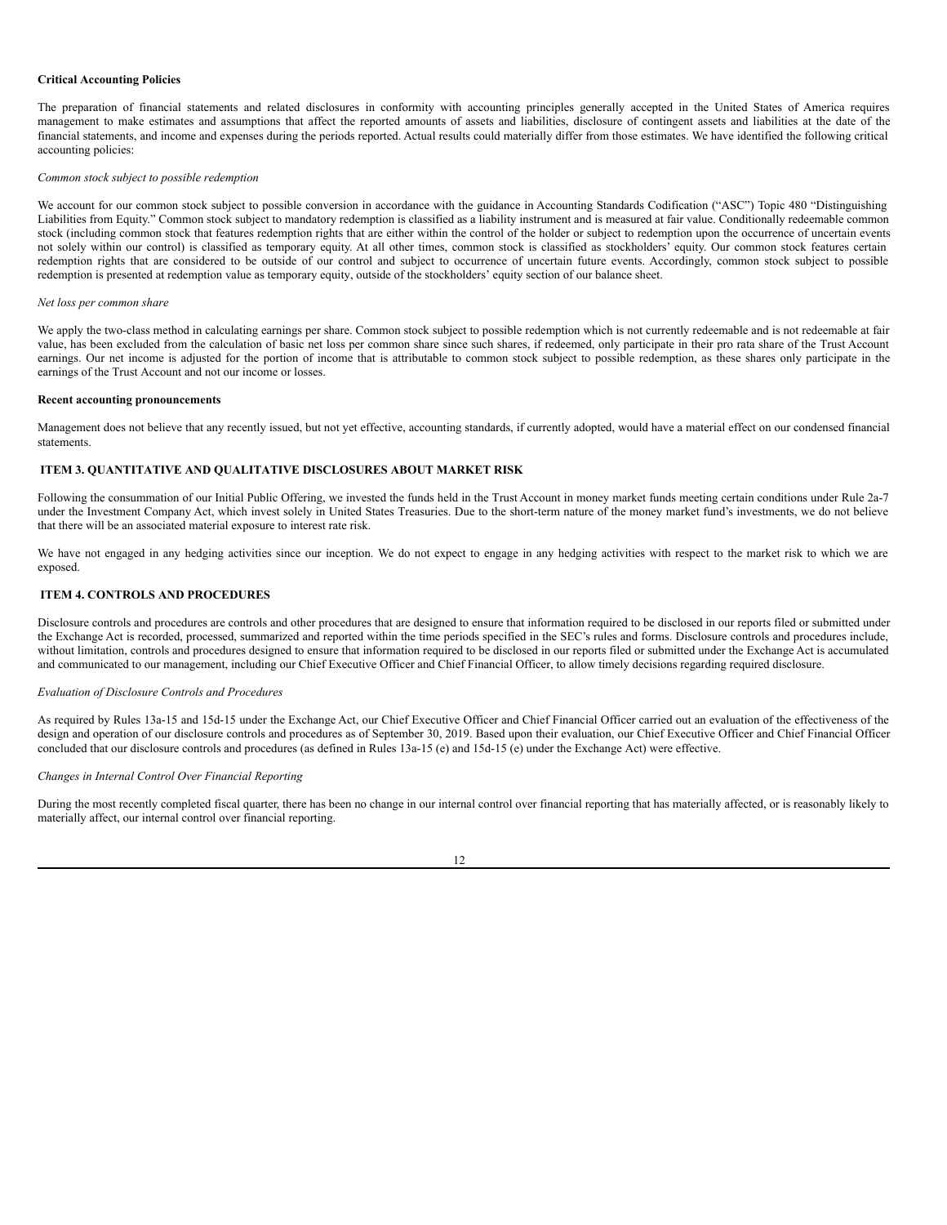### **Critical Accounting Policies**

The preparation of financial statements and related disclosures in conformity with accounting principles generally accepted in the United States of America requires management to make estimates and assumptions that affect the reported amounts of assets and liabilities, disclosure of contingent assets and liabilities at the date of the financial statements, and income and expenses during the periods reported. Actual results could materially differ from those estimates. We have identified the following critical accounting policies:

#### *Common stock subject to possible redemption*

We account for our common stock subject to possible conversion in accordance with the guidance in Accounting Standards Codification ("ASC") Topic 480 "Distinguishing Liabilities from Equity." Common stock subject to mandatory redemption is classified as a liability instrument and is measured at fair value. Conditionally redeemable common stock (including common stock that features redemption rights that are either within the control of the holder or subject to redemption upon the occurrence of uncertain events not solely within our control) is classified as temporary equity. At all other times, common stock is classified as stockholders<sup>5</sup> equity. Our common stock features certain redemption rights that are considered to be outside of our control and subject to occurrence of uncertain future events. Accordingly, common stock subject to possible redemption is presented at redemption value as temporary equity, outside of the stockholders' equity section of our balance sheet.

#### *Net loss per common share*

We apply the two-class method in calculating earnings per share. Common stock subject to possible redemption which is not currently redeemable and is not redeemable at fair value, has been excluded from the calculation of basic net loss per common share since such shares, if redeemed, only participate in their pro rata share of the Trust Account earnings. Our net income is adjusted for the portion of income that is attributable to common stock subject to possible redemption, as these shares only participate in the earnings of the Trust Account and not our income or losses.

## **Recent accounting pronouncements**

Management does not believe that any recently issued, but not yet effective, accounting standards, if currently adopted, would have a material effect on our condensed financial statements.

## <span id="page-13-0"></span>**ITEM 3. QUANTITATIVE AND QUALITATIVE DISCLOSURES ABOUT MARKET RISK**

Following the consummation of our Initial Public Offering, we invested the funds held in the Trust Account in money market funds meeting certain conditions under Rule 2a-7 under the Investment Company Act, which invest solely in United States Treasuries. Due to the short-term nature of the money market fund's investments, we do not believe that there will be an associated material exposure to interest rate risk.

We have not engaged in any hedging activities since our inception. We do not expect to engage in any hedging activities with respect to the market risk to which we are exposed.

## <span id="page-13-1"></span>**ITEM 4. CONTROLS AND PROCEDURES**

Disclosure controls and procedures are controls and other procedures that are designed to ensure that information required to be disclosed in our reports filed or submitted under the Exchange Act is recorded, processed, summarized and reported within the time periods specified in the SEC's rules and forms. Disclosure controls and procedures include, without limitation, controls and procedures designed to ensure that information required to be disclosed in our reports filed or submitted under the Exchange Act is accumulated and communicated to our management, including our Chief Executive Officer and Chief Financial Officer, to allow timely decisions regarding required disclosure.

#### *Evaluation of Disclosure Controls and Procedures*

As required by Rules 13a-15 and 15d-15 under the Exchange Act, our Chief Executive Officer and Chief Financial Officer carried out an evaluation of the effectiveness of the design and operation of our disclosure controls and procedures as of September 30, 2019. Based upon their evaluation, our Chief Executive Officer and Chief Financial Officer concluded that our disclosure controls and procedures (as defined in Rules 13a-15 (e) and 15d-15 (e) under the Exchange Act) were effective.

## *Changes in Internal Control Over Financial Reporting*

During the most recently completed fiscal quarter, there has been no change in our internal control over financial reporting that has materially affected, or is reasonably likely to materially affect, our internal control over financial reporting.

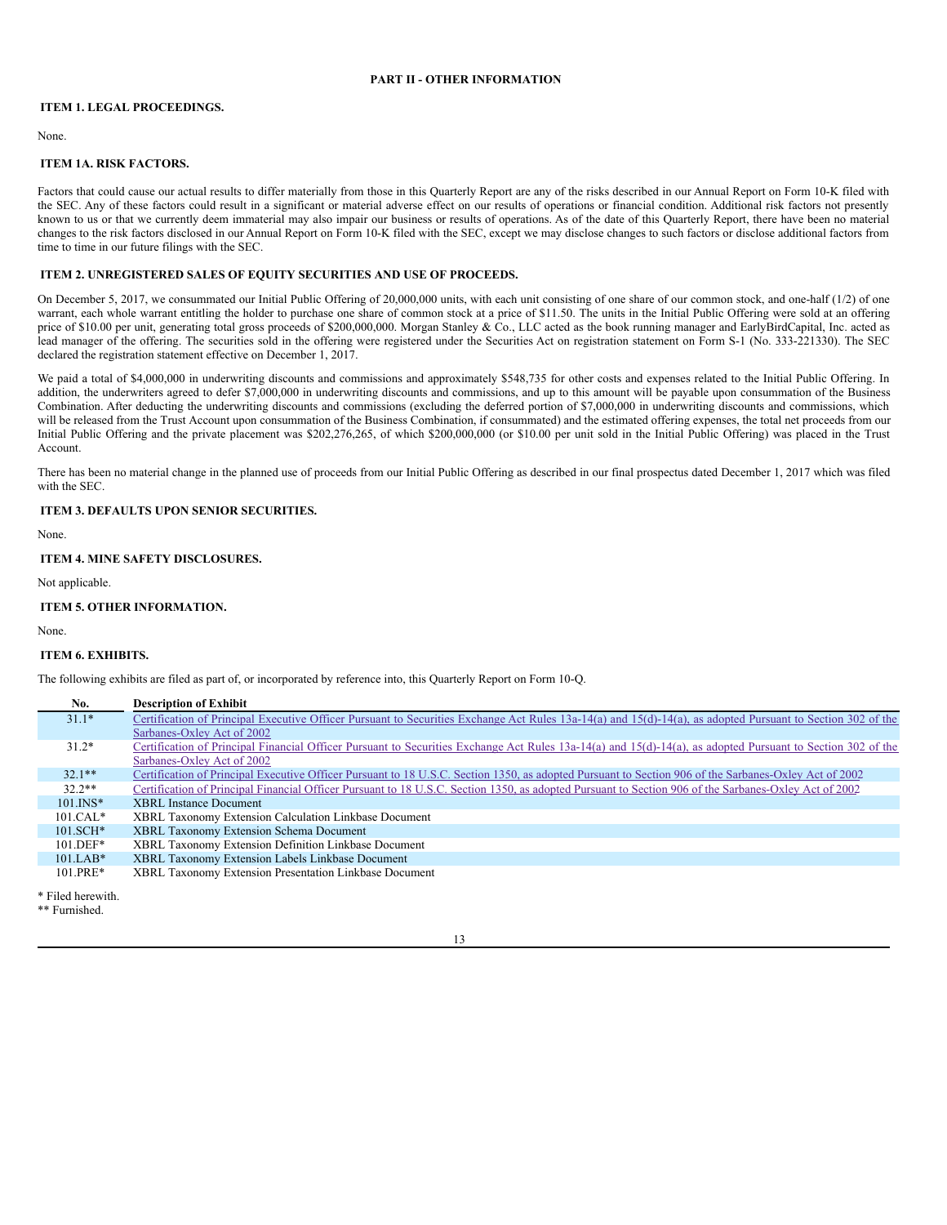## <span id="page-14-0"></span>**PART II - OTHER INFORMATION**

## <span id="page-14-1"></span>**ITEM 1. LEGAL PROCEEDINGS.**

## None.

## <span id="page-14-2"></span>**ITEM 1A. RISK FACTORS.**

Factors that could cause our actual results to differ materially from those in this Quarterly Report are any of the risks described in our Annual Report on Form 10-K filed with the SEC. Any of these factors could result in a significant or material adverse effect on our results of operations or financial condition. Additional risk factors not presently known to us or that we currently deem immaterial may also impair our business or results of operations. As of the date of this Quarterly Report, there have been no material changes to the risk factors disclosed in our Annual Report on Form 10-K filed with the SEC, except we may disclose changes to such factors or disclose additional factors from time to time in our future filings with the SEC.

## <span id="page-14-3"></span>**ITEM 2. UNREGISTERED SALES OF EQUITY SECURITIES AND USE OF PROCEEDS.**

On December 5, 2017, we consummated our Initial Public Offering of 20,000,000 units, with each unit consisting of one share of our common stock, and one-half (1/2) of one warrant, each whole warrant entitling the holder to purchase one share of common stock at a price of \$11.50. The units in the Initial Public Offering were sold at an offering price of \$10.00 per unit, generating total gross proceeds of \$200,000,000. Morgan Stanley & Co., LLC acted as the book running manager and EarlyBirdCapital, Inc. acted as lead manager of the offering. The securities sold in the offering were registered under the Securities Act on registration statement on Form S-1 (No. 333-221330). The SEC declared the registration statement effective on December 1, 2017.

We paid a total of \$4,000,000 in underwriting discounts and commissions and approximately \$548,735 for other costs and expenses related to the Initial Public Offering. In addition, the underwriters agreed to defer \$7,000,000 in underwriting discounts and commissions, and up to this amount will be payable upon consummation of the Business Combination. After deducting the underwriting discounts and commissions (excluding the deferred portion of \$7,000,000 in underwriting discounts and commissions, which will be released from the Trust Account upon consummation of the Business Combination, if consummated) and the estimated offering expenses, the total net proceeds from our Initial Public Offering and the private placement was \$202,276,265, of which \$200,000,000 (or \$10.00 per unit sold in the Initial Public Offering) was placed in the Trust Account.

There has been no material change in the planned use of proceeds from our Initial Public Offering as described in our final prospectus dated December 1, 2017 which was filed with the SEC.

## <span id="page-14-4"></span>**ITEM 3. DEFAULTS UPON SENIOR SECURITIES.**

None.

## <span id="page-14-5"></span>**ITEM 4. MINE SAFETY DISCLOSURES.**

Not applicable.

## <span id="page-14-6"></span>**ITEM 5. OTHER INFORMATION.**

None.

## <span id="page-14-7"></span>**ITEM 6. EXHIBITS.**

The following exhibits are filed as part of, or incorporated by reference into, this Quarterly Report on Form 10-Q.

| No.                    | <b>Description of Exhibit</b>                                                                                                                               |
|------------------------|-------------------------------------------------------------------------------------------------------------------------------------------------------------|
| $31.1*$                | Certification of Principal Executive Officer Pursuant to Securities Exchange Act Rules 13a-14(a) and 15(d)-14(a), as adopted Pursuant to Section 302 of the |
|                        | Sarbanes-Oxley Act of 2002                                                                                                                                  |
| $31.2*$                | Certification of Principal Financial Officer Pursuant to Securities Exchange Act Rules 13a-14(a) and 15(d)-14(a), as adopted Pursuant to Section 302 of the |
|                        | Sarbanes-Oxley Act of 2002                                                                                                                                  |
| $32.1**$               | Certification of Principal Executive Officer Pursuant to 18 U.S.C. Section 1350, as adopted Pursuant to Section 906 of the Sarbanes-Oxley Act of 2002       |
| $32.2**$               | Certification of Principal Financial Officer Pursuant to 18 U.S.C. Section 1350, as adopted Pursuant to Section 906 of the Sarbanes-Oxley Act of 2002       |
| $101.$ INS*            | <b>XBRL</b> Instance Document                                                                                                                               |
| $101.CAL*$             | XBRL Taxonomy Extension Calculation Linkbase Document                                                                                                       |
| $101.SCH*$             | XBRL Taxonomy Extension Schema Document                                                                                                                     |
| $101.DEF*$             | XBRL Taxonomy Extension Definition Linkbase Document                                                                                                        |
| $101$ LAB <sup>*</sup> | XBRL Taxonomy Extension Labels Linkbase Document                                                                                                            |
| $101.PRE*$             | XBRL Taxonomy Extension Presentation Linkbase Document                                                                                                      |
|                        |                                                                                                                                                             |

\* Filed herewith.

\*\* Furnished.

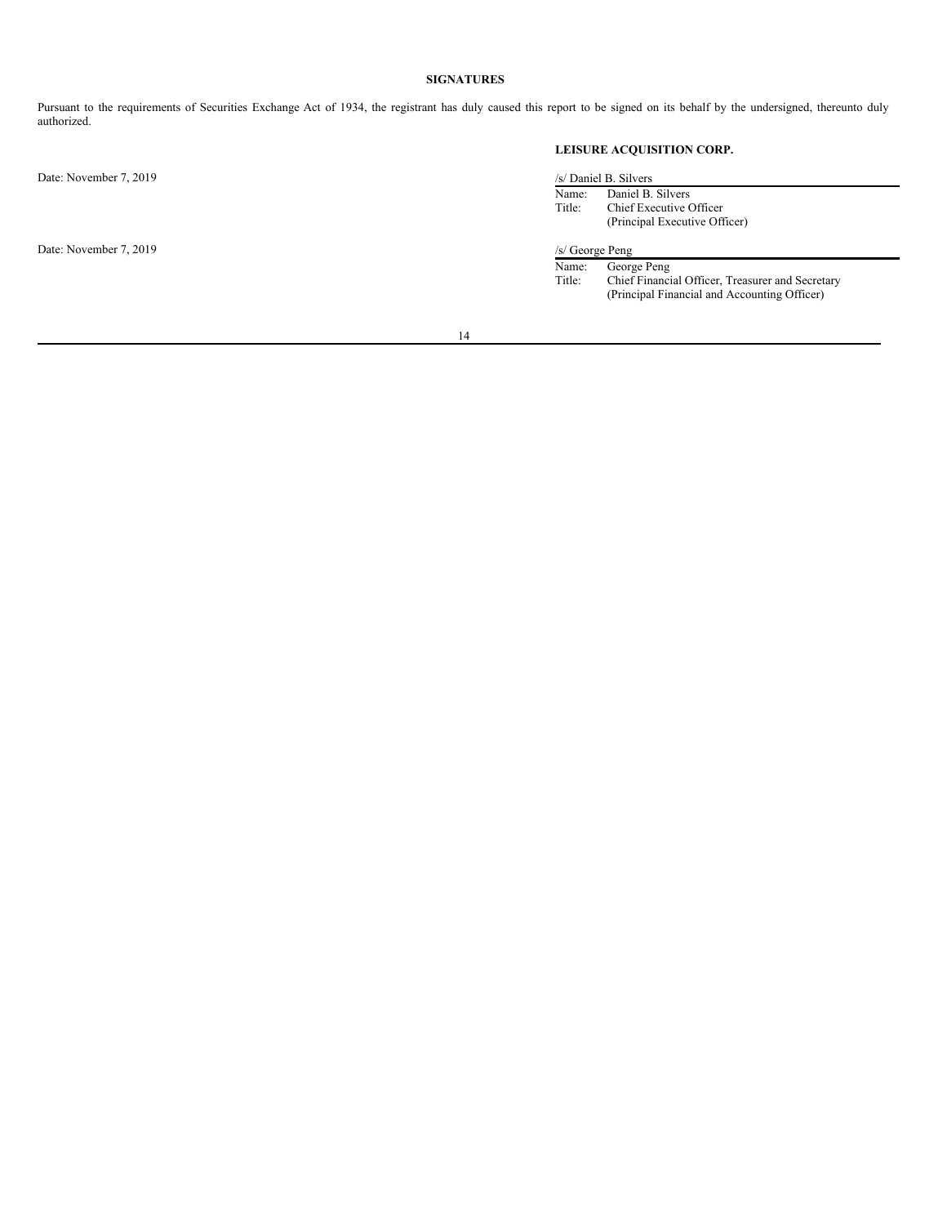## <span id="page-15-0"></span>**SIGNATURES**

Pursuant to the requirements of Securities Exchange Act of 1934, the registrant has duly caused this report to be signed on its behalf by the undersigned, thereunto duly authorized.

Date: November 7, 2019

Date: November 7, 2019 /s/ George Peng<br>
Name: George Peng<br>
Name: George Peng<br>
Name: George Peng<br>
Name: George Peng<br>
Name: George Peng<br>
Name: George Peng<br>
Name: George Peng<br>
Name: George Peng<br>
Name: George Peng<br>
Name: Georg

# **LEISURE ACQUISITION CORP.**

| /s/ Daniel B. Silvers |  |
|-----------------------|--|
|-----------------------|--|

| Name:  | Daniel B. Silvers             |
|--------|-------------------------------|
| Title: | Chief Executive Officer       |
|        | (Principal Executive Officer) |

Name: George Peng Title: Chief Financial Officer, Treasurer and Secretary (Principal Financial and Accounting Officer)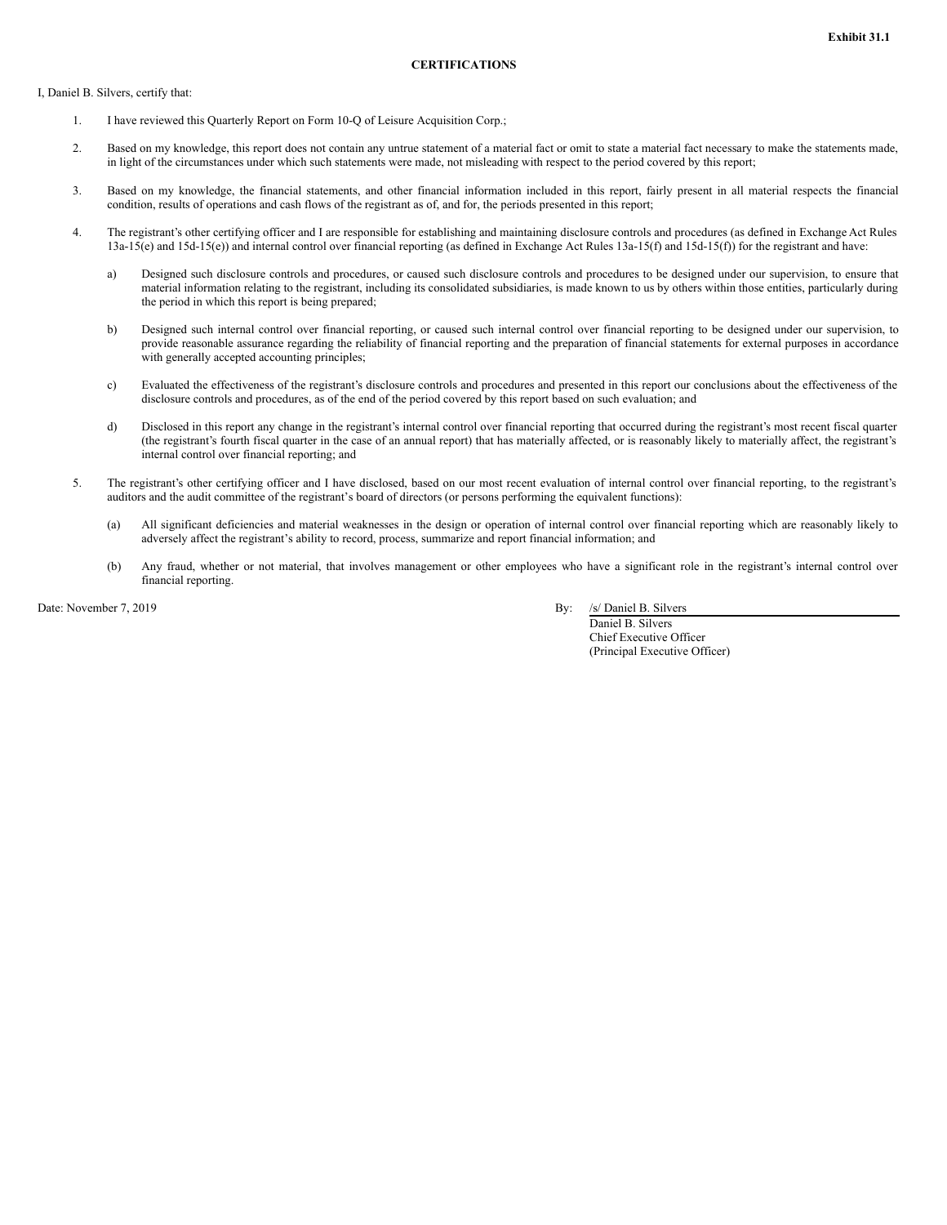<span id="page-16-0"></span>I, Daniel B. Silvers, certify that:

- 1. I have reviewed this Quarterly Report on Form 10-Q of Leisure Acquisition Corp.;
- 2. Based on my knowledge, this report does not contain any untrue statement of a material fact or omit to state a material fact necessary to make the statements made, in light of the circumstances under which such statements were made, not misleading with respect to the period covered by this report;
- 3. Based on my knowledge, the financial statements, and other financial information included in this report, fairly present in all material respects the financial condition, results of operations and cash flows of the registrant as of, and for, the periods presented in this report;
- 4. The registrant's other certifying officer and I are responsible for establishing and maintaining disclosure controls and procedures (as defined in Exchange Act Rules 13a-15(e) and 15d-15(e)) and internal control over financial reporting (as defined in Exchange Act Rules 13a-15(f) and 15d-15(f)) for the registrant and have:
	- a) Designed such disclosure controls and procedures, or caused such disclosure controls and procedures to be designed under our supervision, to ensure that material information relating to the registrant, including its consolidated subsidiaries, is made known to us by others within those entities, particularly during the period in which this report is being prepared;
	- b) Designed such internal control over financial reporting, or caused such internal control over financial reporting to be designed under our supervision, to provide reasonable assurance regarding the reliability of financial reporting and the preparation of financial statements for external purposes in accordance with generally accepted accounting principles;
	- c) Evaluated the effectiveness of the registrant's disclosure controls and procedures and presented in this report our conclusions about the effectiveness of the disclosure controls and procedures, as of the end of the period covered by this report based on such evaluation; and
	- d) Disclosed in this report any change in the registrant's internal control over financial reporting that occurred during the registrant's most recent fiscal quarter (the registrant's fourth fiscal quarter in the case of an annual report) that has materially affected, or is reasonably likely to materially affect, the registrant's internal control over financial reporting; and
- 5. The registrant's other certifying officer and I have disclosed, based on our most recent evaluation of internal control over financial reporting, to the registrant's auditors and the audit committee of the registrant's board of directors (or persons performing the equivalent functions):
	- (a) All significant deficiencies and material weaknesses in the design or operation of internal control over financial reporting which are reasonably likely to adversely affect the registrant's ability to record, process, summarize and report financial information; and
	- (b) Any fraud, whether or not material, that involves management or other employees who have a significant role in the registrant's internal control over financial reporting.

Date: November 7, 2019 By: /s/ Daniel B. Silvers

Daniel B. Silvers Chief Executive Officer (Principal Executive Officer)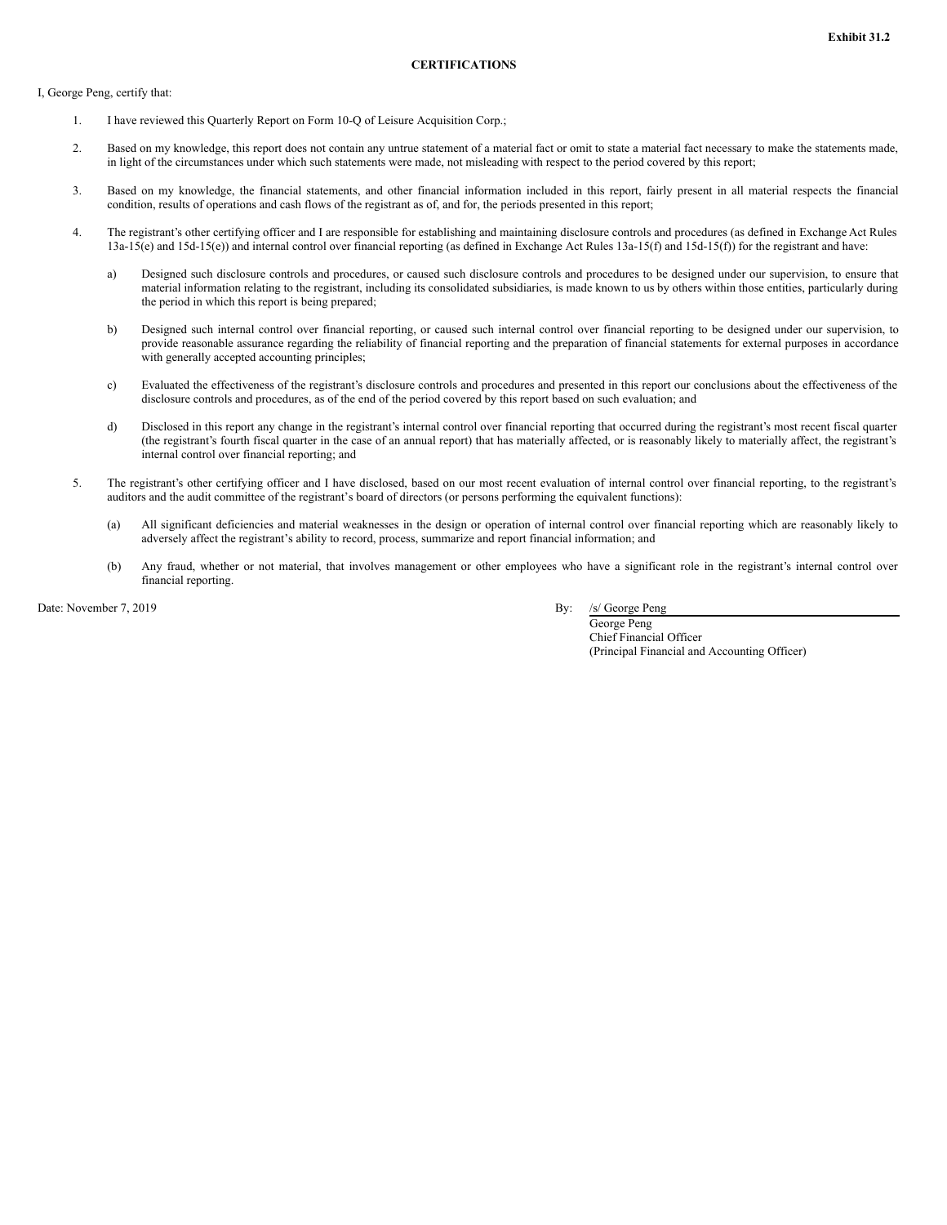<span id="page-17-0"></span>I, George Peng, certify that:

- 1. I have reviewed this Quarterly Report on Form 10-Q of Leisure Acquisition Corp.;
- 2. Based on my knowledge, this report does not contain any untrue statement of a material fact or omit to state a material fact necessary to make the statements made, in light of the circumstances under which such statements were made, not misleading with respect to the period covered by this report;
- 3. Based on my knowledge, the financial statements, and other financial information included in this report, fairly present in all material respects the financial condition, results of operations and cash flows of the registrant as of, and for, the periods presented in this report;
- 4. The registrant's other certifying officer and I are responsible for establishing and maintaining disclosure controls and procedures (as defined in Exchange Act Rules 13a-15(e) and 15d-15(e)) and internal control over financial reporting (as defined in Exchange Act Rules 13a-15(f) and 15d-15(f)) for the registrant and have:
	- a) Designed such disclosure controls and procedures, or caused such disclosure controls and procedures to be designed under our supervision, to ensure that material information relating to the registrant, including its consolidated subsidiaries, is made known to us by others within those entities, particularly during the period in which this report is being prepared;
	- b) Designed such internal control over financial reporting, or caused such internal control over financial reporting to be designed under our supervision, to provide reasonable assurance regarding the reliability of financial reporting and the preparation of financial statements for external purposes in accordance with generally accepted accounting principles;
	- c) Evaluated the effectiveness of the registrant's disclosure controls and procedures and presented in this report our conclusions about the effectiveness of the disclosure controls and procedures, as of the end of the period covered by this report based on such evaluation; and
	- d) Disclosed in this report any change in the registrant's internal control over financial reporting that occurred during the registrant's most recent fiscal quarter (the registrant's fourth fiscal quarter in the case of an annual report) that has materially affected, or is reasonably likely to materially affect, the registrant's internal control over financial reporting; and
- 5. The registrant's other certifying officer and I have disclosed, based on our most recent evaluation of internal control over financial reporting, to the registrant's auditors and the audit committee of the registrant's board of directors (or persons performing the equivalent functions):
	- (a) All significant deficiencies and material weaknesses in the design or operation of internal control over financial reporting which are reasonably likely to adversely affect the registrant's ability to record, process, summarize and report financial information; and
	- (b) Any fraud, whether or not material, that involves management or other employees who have a significant role in the registrant's internal control over financial reporting.

Date: November 7, 2019 By: /s/ George Peng

George Peng Chief Financial Officer (Principal Financial and Accounting Officer)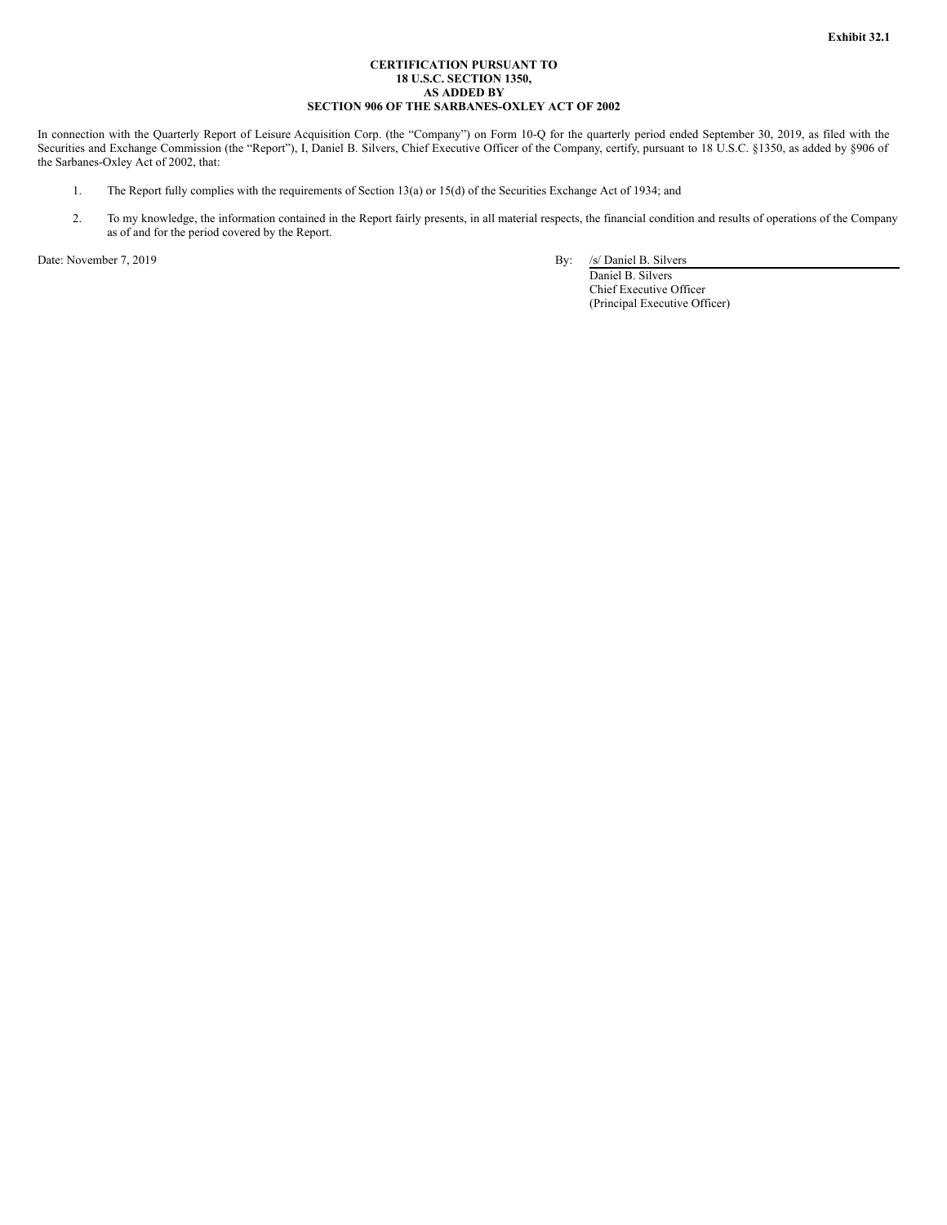#### **CERTIFICATION PURSUANT TO 18 U.S.C. SECTION 1350, AS ADDED BY SECTION 906 OF THE SARBANES-OXLEY ACT OF 2002**

<span id="page-18-0"></span>In connection with the Quarterly Report of Leisure Acquisition Corp. (the "Company") on Form 10-Q for the quarterly period ended September 30, 2019, as filed with the Securities and Exchange Commission (the "Report"), I, Daniel B. Silvers, Chief Executive Officer of the Company, certify, pursuant to 18 U.S.C. §1350, as added by §906 of the Sarbanes-Oxley Act of 2002, that:

- 1. The Report fully complies with the requirements of Section 13(a) or 15(d) of the Securities Exchange Act of 1934; and
- 2. To my knowledge, the information contained in the Report fairly presents, in all material respects, the financial condition and results of operations of the Company as of and for the period covered by the Report.

Date: November 7, 2019 By: /s/ Daniel B. Silvers

Daniel B. Silvers Chief Executive Officer (Principal Executive Officer)